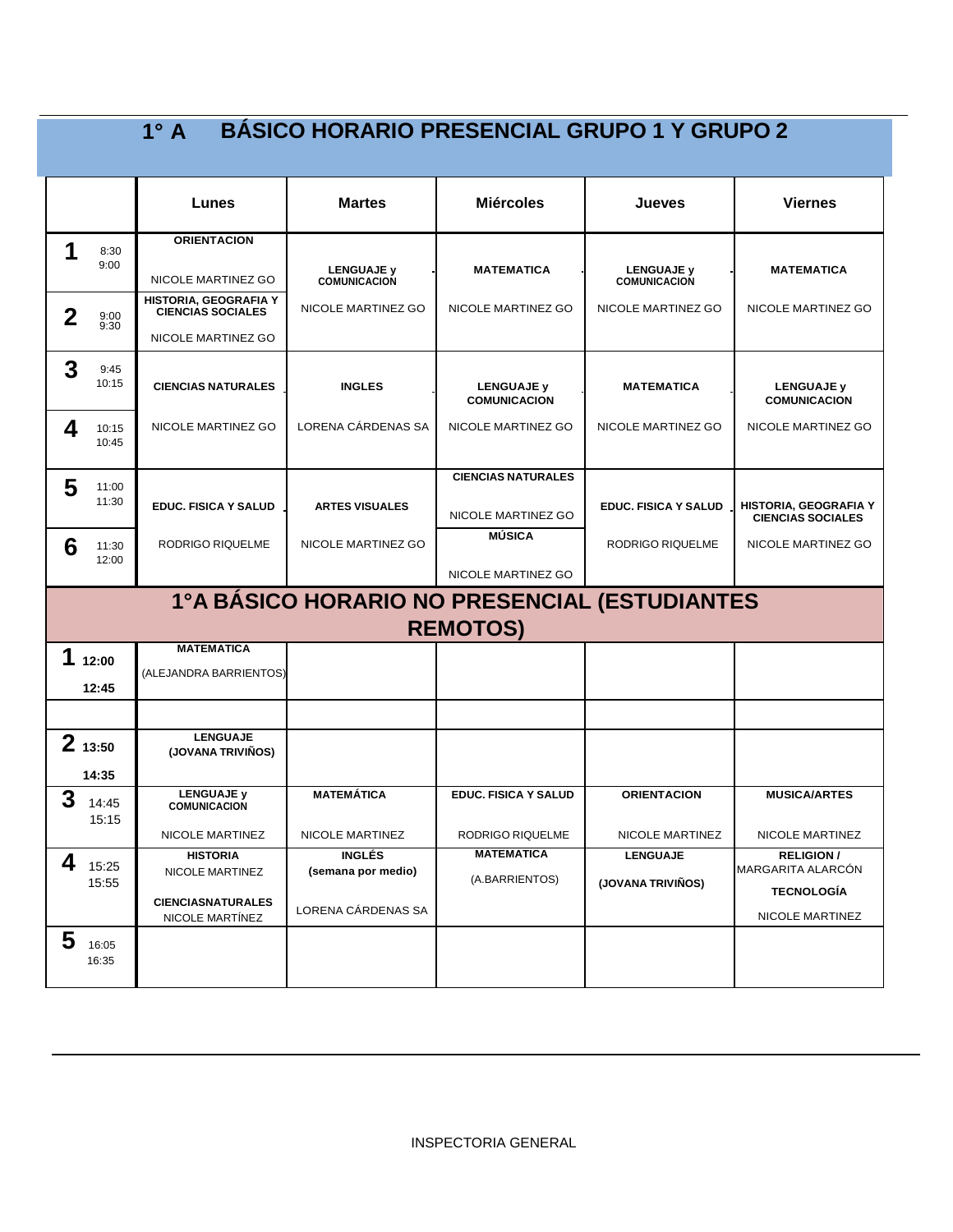|             |                | $1^\circ$ A                                       | <b>BÁSICO HORARIO PRESENCIAL GRUPO 1 Y GRUPO 2</b> |                                          |                                          |                                                            |
|-------------|----------------|---------------------------------------------------|----------------------------------------------------|------------------------------------------|------------------------------------------|------------------------------------------------------------|
|             |                | Lunes                                             | <b>Martes</b>                                      | <b>Miércoles</b>                         | Jueves                                   | <b>Viernes</b>                                             |
| 1           | 8:30           | <b>ORIENTACION</b>                                |                                                    |                                          |                                          |                                                            |
|             | 9:00           | NICOLE MARTINEZ GO                                | <b>LENGUAJE y</b><br><b>COMUNICACION</b>           | <b>MATEMATICA</b>                        | <b>LENGUAJE y</b><br><b>COMUNICACION</b> | <b>MATEMATICA</b>                                          |
| $\mathbf 2$ | 9:00<br>9:30   | HISTORIA, GEOGRAFIA Y<br><b>CIENCIAS SOCIALES</b> | NICOLE MARTINEZ GO                                 | NICOLE MARTINEZ GO                       | NICOLE MARTINEZ GO                       | NICOLE MARTINEZ GO                                         |
|             |                | NICOLE MARTINEZ GO                                |                                                    |                                          |                                          |                                                            |
| 3           | 9:45<br>10:15  | <b>CIENCIAS NATURALES</b>                         | <b>INGLES</b>                                      | <b>LENGUAJE y</b><br><b>COMUNICACION</b> | <b>MATEMATICA</b>                        | <b>LENGUAJE y</b><br><b>COMUNICACION</b>                   |
| 4           | 10:15<br>10:45 | NICOLE MARTINEZ GO                                | LORENA CÁRDENAS SA                                 | NICOLE MARTINEZ GO                       | NICOLE MARTINEZ GO                       | NICOLE MARTINEZ GO                                         |
| 5           | 11:00          |                                                   |                                                    | <b>CIENCIAS NATURALES</b>                |                                          |                                                            |
|             | 11:30          | <b>EDUC. FISICA Y SALUD</b>                       | <b>ARTES VISUALES</b>                              | NICOLE MARTINEZ GO                       | <b>EDUC. FISICA Y SALUD</b>              | HISTORIA, GEOGRAFIA Y<br><b>CIENCIAS SOCIALES</b>          |
| 6           | 11:30<br>12:00 | RODRIGO RIQUELME                                  | NICOLE MARTINEZ GO                                 | <b>MÚSICA</b>                            | RODRIGO RIQUELME                         | NICOLE MARTINEZ GO                                         |
|             |                |                                                   |                                                    | NICOLE MARTINEZ GO                       |                                          |                                                            |
|             |                |                                                   | 1ºA BÁSICO HORARIO NO PRESENCIAL (ESTUDIANTES      | <b>REMOTOS)</b>                          |                                          |                                                            |
| 1           | 12:00          | <b>MATEMATICA</b>                                 |                                                    |                                          |                                          |                                                            |
|             | 12:45          | (ALEJANDRA BARRIENTOS)                            |                                                    |                                          |                                          |                                                            |
|             |                |                                                   |                                                    |                                          |                                          |                                                            |
|             | 213:50         | <b>LENGUAJE</b><br>(JOVANA TRIVIÑOS)              |                                                    |                                          |                                          |                                                            |
| 3           | 14:35<br>14:45 | <b>LENGUAJE v</b><br><b>COMUNICACION</b>          | <b>MATEMÁTICA</b>                                  | <b>EDUC. FISICA Y SALUD</b>              | <b>ORIENTACION</b>                       | <b>MUSICA/ARTES</b>                                        |
|             | 15:15          | NICOLE MARTINEZ                                   | NICOLE MARTINEZ                                    | RODRIGO RIQUELME                         | NICOLE MARTINEZ                          | NICOLE MARTINEZ                                            |
| 4           | 15:25<br>15:55 | <b>HISTORIA</b><br>NICOLE MARTINEZ                | <b>INGLÉS</b><br>(semana por medio)                | MATEMATICA<br>(A.BARRIENTOS)             | <b>LENGUAJE</b><br>(JOVANA TRIVIÑOS)     | <b>RELIGION/</b><br>MARGARITA ALARCÓN<br><b>TECNOLOGÍA</b> |
|             |                | <b>CIENCIASNATURALES</b><br>NICOLE MARTÍNEZ       | LORENA CÁRDENAS SA                                 |                                          |                                          | NICOLE MARTINEZ                                            |
| 5           | 16:05<br>16:35 |                                                   |                                                    |                                          |                                          |                                                            |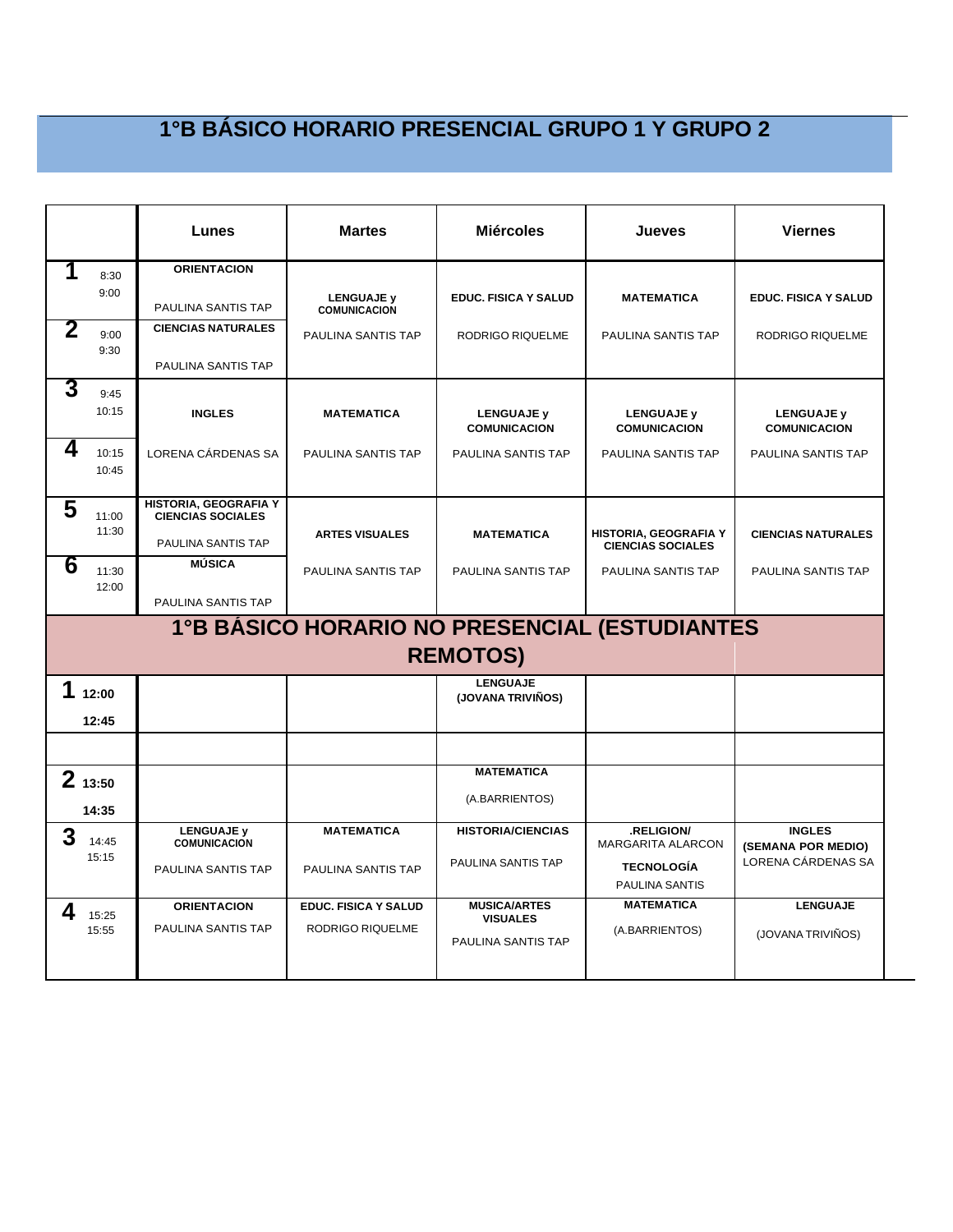|   |                 | Lunes                                             | <b>Martes</b>                            | <b>Miércoles</b>                      | Jueves                                            | <b>Viernes</b>                      |
|---|-----------------|---------------------------------------------------|------------------------------------------|---------------------------------------|---------------------------------------------------|-------------------------------------|
| 1 | 8:30<br>9:00    | <b>ORIENTACION</b>                                |                                          |                                       |                                                   |                                     |
|   |                 | PAULINA SANTIS TAP                                | <b>LENGUAJE y</b><br><b>COMUNICACION</b> | <b>EDUC. FISICA Y SALUD</b>           | <b>MATEMATICA</b>                                 | EDUC. FISICA Y SALUD                |
| 2 | 9:00<br>9:30    | <b>CIENCIAS NATURALES</b>                         | PAULINA SANTIS TAP                       | RODRIGO RIQUELME                      | PAULINA SANTIS TAP                                | RODRIGO RIQUELME                    |
|   |                 | PAULINA SANTIS TAP                                |                                          |                                       |                                                   |                                     |
| 3 | 9:45<br>10:15   | <b>INGLES</b>                                     | <b>MATEMATICA</b>                        | <b>LENGUAJE y</b>                     | <b>LENGUAJE y</b>                                 | <b>LENGUAJE y</b>                   |
|   |                 |                                                   |                                          | <b>COMUNICACION</b>                   | <b>COMUNICACION</b>                               | <b>COMUNICACION</b>                 |
| 4 | 10:15<br>10:45  | LORENA CÁRDENAS SA                                | PAULINA SANTIS TAP                       | PAULINA SANTIS TAP                    | PAULINA SANTIS TAP                                | PAULINA SANTIS TAP                  |
| 5 | 11:00           | HISTORIA, GEOGRAFIA Y<br><b>CIENCIAS SOCIALES</b> |                                          |                                       |                                                   |                                     |
|   | 11:30           | PAULINA SANTIS TAP                                | <b>ARTES VISUALES</b>                    | <b>MATEMATICA</b>                     | HISTORIA, GEOGRAFIA Y<br><b>CIENCIAS SOCIALES</b> | <b>CIENCIAS NATURALES</b>           |
| 6 | 11:30<br>12:00  | <b>MÚSICA</b>                                     | PAULINA SANTIS TAP                       | PAULINA SANTIS TAP                    | PAULINA SANTIS TAP                                | PAULINA SANTIS TAP                  |
|   |                 | PAULINA SANTIS TAP                                |                                          |                                       |                                                   |                                     |
|   |                 |                                                   |                                          | <b>REMOTOS)</b>                       | 1°B BÁSICO HORARIO NO PRESENCIAL (ESTUDIANTES     |                                     |
| 1 | 12:00           |                                                   |                                          | <b>LENGUAJE</b><br>(JOVANA TRIVIÑOS)  |                                                   |                                     |
|   | 12:45           |                                                   |                                          |                                       |                                                   |                                     |
|   |                 |                                                   |                                          | <b>MATEMATICA</b>                     |                                                   |                                     |
|   | 213:50<br>14:35 |                                                   |                                          | (A.BARRIENTOS)                        |                                                   |                                     |
| 3 | 14:45           | <b>LENGUAJE v</b><br><b>COMUNICACIÓN</b>          | <b>MATEMATICA</b>                        | <b>HISTORIA/CIENCIAS</b>              | .RELIGION/<br><b>MARGARITA ALARCON</b>            | <b>INGLES</b><br>(SEMANA POR MEDIO) |
|   | 15:15           | PAULINA SANTIS TAP                                | PAULINA SANTIS TAP                       | PAULINA SANTIS TAP                    | <b>TECNOLOGÍA</b><br><b>PAULINA SANTIS</b>        | LORENA CÁRDENAS SA                  |
| 4 | 15:25           | <b>ORIENTACION</b>                                | <b>EDUC. FISICA Y SALUD</b>              | <b>MUSICA/ARTES</b>                   | <b>MATEMATICA</b>                                 | <b>LENGUAJE</b>                     |
|   | 15:55           | PAULINA SANTIS TAP                                | RODRIGO RIQUELME                         | <b>VISUALES</b><br>PAULINA SANTIS TAP | (A.BARRIENTOS)                                    | (JOVANA TRIVIÑOS)                   |
|   |                 |                                                   |                                          |                                       |                                                   |                                     |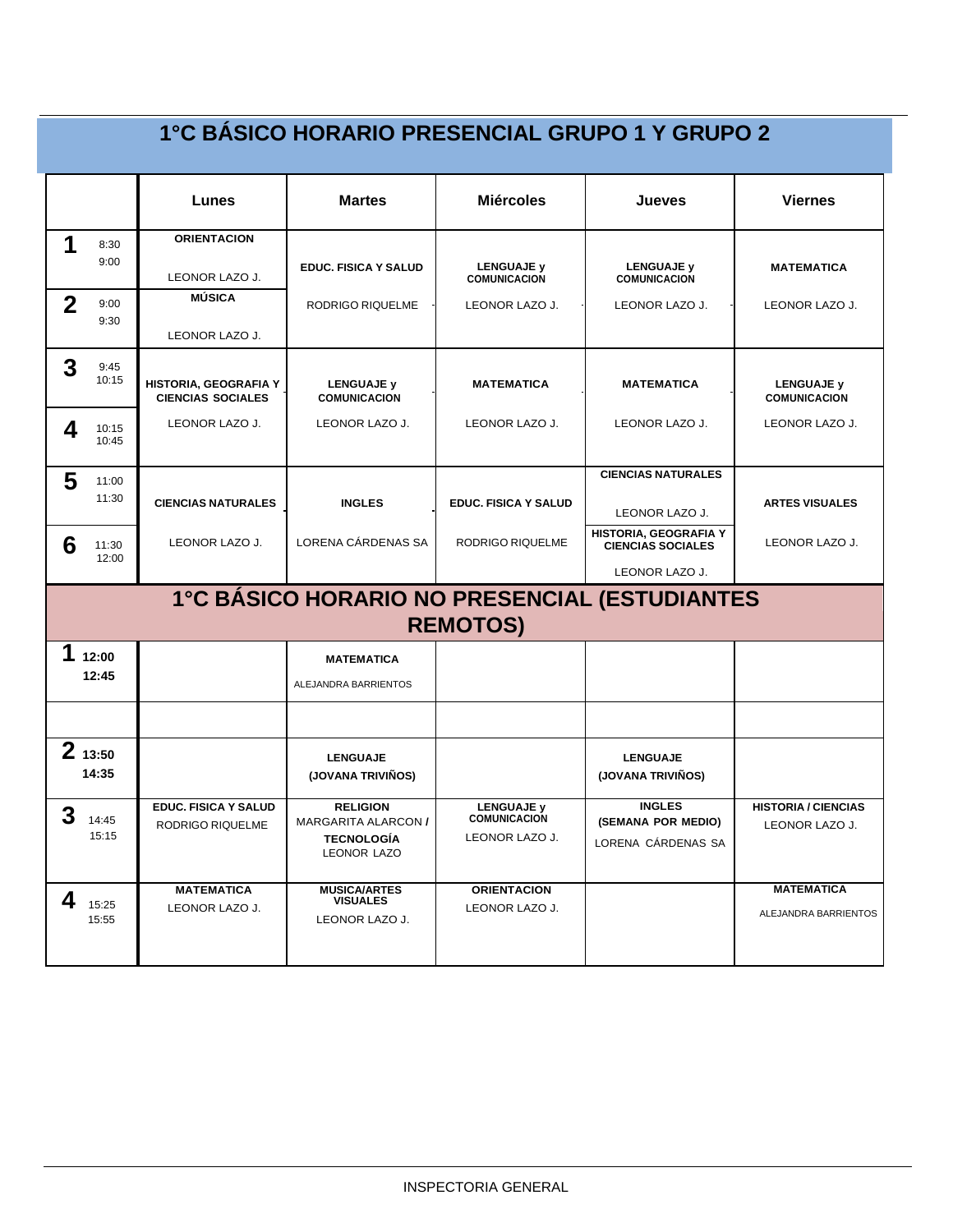|             |                 |                                                   | 1°C BÁSICO HORARIO PRESENCIAL GRUPO 1 Y GRUPO 2                            |                                                            |                                                           |                                              |
|-------------|-----------------|---------------------------------------------------|----------------------------------------------------------------------------|------------------------------------------------------------|-----------------------------------------------------------|----------------------------------------------|
|             |                 | Lunes                                             | <b>Martes</b>                                                              | <b>Miércoles</b>                                           | Jueves                                                    | <b>Viernes</b>                               |
| 1           | 8:30            | <b>ORIENTACION</b>                                |                                                                            |                                                            |                                                           |                                              |
|             | 9:00            | LEONOR LAZO J.                                    | <b>EDUC. FISICA Y SALUD</b>                                                | <b>LENGUAJE y</b><br><b>COMUNICACION</b>                   | <b>LENGUAJE y</b><br><b>COMUNICACION</b>                  | <b>MATEMATICA</b>                            |
| $\mathbf 2$ | 9:00<br>9:30    | <b>MÚSICA</b>                                     | RODRIGO RIQUELME                                                           | LEONOR LAZO J.                                             | LEONOR LAZO J.                                            | LEONOR LAZO J.                               |
|             |                 | LEONOR LAZO J.                                    |                                                                            |                                                            |                                                           |                                              |
| 3           | 9:45<br>10:15   | HISTORIA, GEOGRAFIA Y<br><b>CIENCIAS SOCIALES</b> | <b>LENGUAJE y</b><br><b>COMUNICACION</b>                                   | <b>MATEMATICA</b>                                          | <b>MATEMATICA</b>                                         | <b>LENGUAJE y</b><br><b>COMUNICACION</b>     |
| 4           | 10:15<br>10:45  | LEONOR LAZO J.                                    | LEONOR LAZO J.                                                             | LEONOR LAZO J.                                             | LEONOR LAZO J.                                            | LEONOR LAZO J.                               |
| 5           | 11:00           |                                                   |                                                                            |                                                            | <b>CIENCIAS NATURALES</b>                                 |                                              |
|             | 11:30           | <b>CIENCIAS NATURALES</b>                         | <b>INGLES</b>                                                              | <b>EDUC. FISICA Y SALUD</b>                                | LEONOR LAZO J.                                            | <b>ARTES VISUALES</b>                        |
| 6           | 11:30           | LEONOR LAZO J.                                    | LORENA CÁRDENAS SA                                                         | <b>RODRIGO RIQUELME</b>                                    | HISTORIA, GEOGRAFIA Y<br><b>CIENCIAS SOCIALES</b>         | LEONOR LAZO J.                               |
|             | 12:00           |                                                   |                                                                            |                                                            | LEONOR LAZO J.                                            |                                              |
|             |                 |                                                   |                                                                            | <b>REMOTOS)</b>                                            | <b>1°C BÁSICO HORARIO NO PRESENCIAL (ESTUDIANTES)</b>     |                                              |
| 1           | 12:00           |                                                   | <b>MATEMATICA</b>                                                          |                                                            |                                                           |                                              |
|             | 12:45           |                                                   | ALEJANDRA BARRIENTOS                                                       |                                                            |                                                           |                                              |
|             |                 |                                                   |                                                                            |                                                            |                                                           |                                              |
|             | 213:50<br>14:35 |                                                   | <b>LENGUAJE</b><br>(JOVANA TRIVIÑOS)                                       |                                                            | <b>LENGUAJE</b><br>(JOVANA TRIVIÑOS)                      |                                              |
| 3           | 14:45<br>15:15  | <b>EDUC. FISICA Y SALUD</b><br>RODRIGO RIQUELME   | <b>RELIGION</b><br>MARGARITA ALARCON /<br><b>TECNOLOGÍA</b><br>LEONOR LAZO | <b>LENGUAJE y</b><br><b>COMUNICACION</b><br>LEONOR LAZO J. | <b>INGLES</b><br>(SEMANA POR MEDIO)<br>LORENA CÁRDENAS SA | <b>HISTORIA / CIENCIAS</b><br>LEONOR LAZO J. |
| 4           | 15:25<br>15:55  | <b>MATEMATICA</b><br>LEONOR LAZO J.               | <b>MUSICA/ARTES</b><br><b>VISUALES</b><br>LEONOR LAZO J.                   | <b>ORIENTACION</b><br>LEONOR LAZO J.                       |                                                           | <b>MATEMATICA</b><br>ALEJANDRA BARRIENTOS    |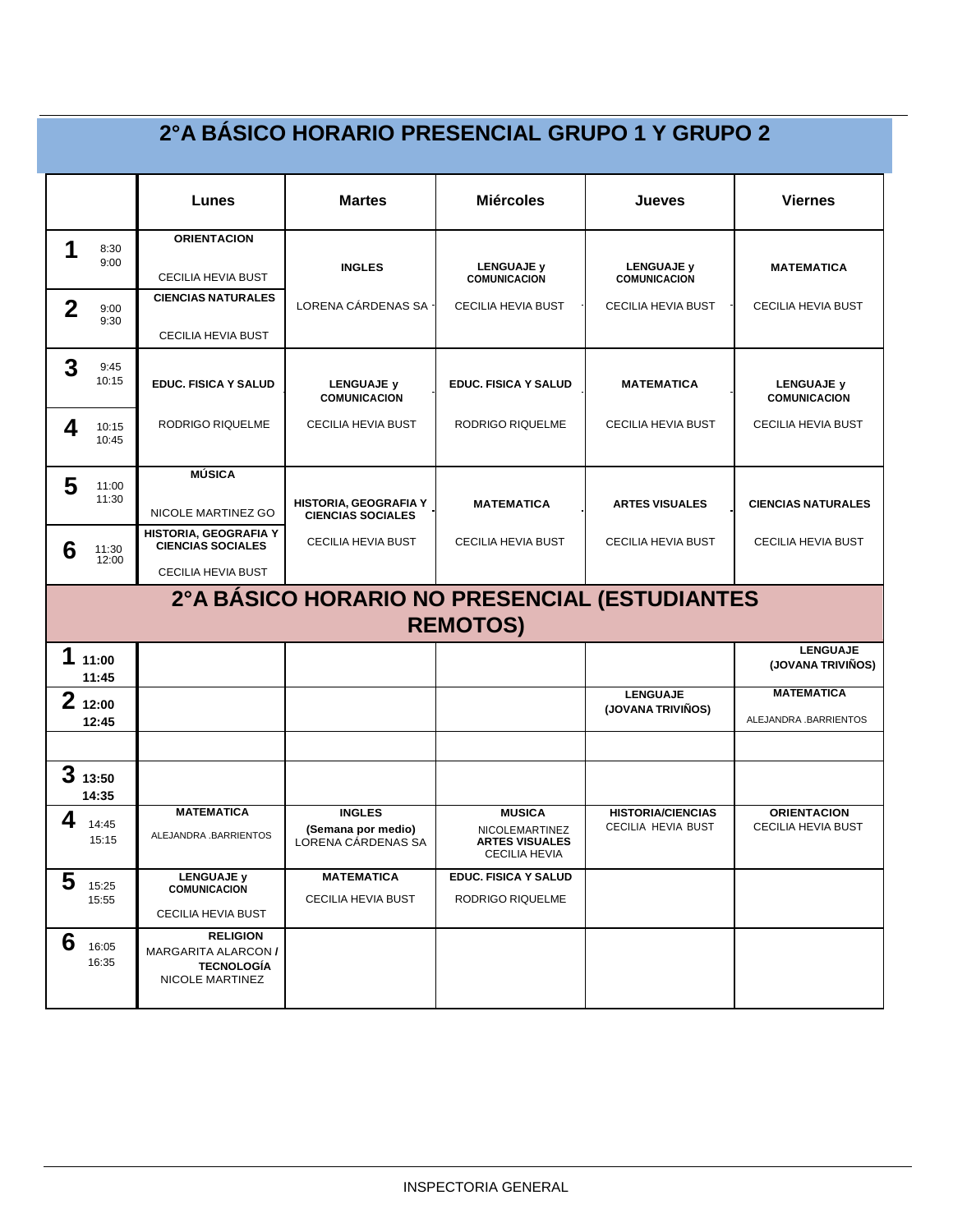|                |                 |                                                                                       | 2ºA BÁSICO HORARIO PRESENCIAL GRUPO 1 Y GRUPO 2           |                                                                                  |                                                |                                          |
|----------------|-----------------|---------------------------------------------------------------------------------------|-----------------------------------------------------------|----------------------------------------------------------------------------------|------------------------------------------------|------------------------------------------|
|                |                 | Lunes                                                                                 | <b>Martes</b>                                             | <b>Miércoles</b>                                                                 | Jueves                                         | <b>Viernes</b>                           |
|                |                 | <b>ORIENTACION</b>                                                                    |                                                           |                                                                                  |                                                |                                          |
| 1              | 8:30<br>9:00    | <b>CECILIA HEVIA BUST</b>                                                             | <b>INGLES</b>                                             | <b>LENGUAJE y</b><br><b>COMUNICACION</b>                                         | <b>LENGUAJE y</b><br><b>COMUNICACION</b>       | <b>MATEMATICA</b>                        |
| $\overline{2}$ | 9:00<br>9:30    | <b>CIENCIAS NATURALES</b>                                                             | LORENA CÁRDENAS SA -                                      | CECILIA HEVIA BUST                                                               | CECILIA HEVIA BUST                             | CECILIA HEVIA BUST                       |
|                |                 | CECILIA HEVIA BUST                                                                    |                                                           |                                                                                  |                                                |                                          |
| 3              | 9:45<br>10:15   | <b>EDUC. FISICA Y SALUD</b>                                                           | <b>LENGUAJE y</b><br><b>COMUNICACION</b>                  | <b>EDUC. FISICA Y SALUD</b>                                                      | <b>MATEMATICA</b>                              | <b>LENGUAJE y</b><br><b>COMUNICACION</b> |
| 4              | 10:15<br>10:45  | RODRIGO RIQUELME                                                                      | CECILIA HEVIA BUST                                        | RODRIGO RIQUELME                                                                 | CECILIA HEVIA BUST                             | CECILIA HEVIA BUST                       |
|                |                 | <b>MÚSICA</b>                                                                         |                                                           |                                                                                  |                                                |                                          |
| 5              | 11:00<br>11:30  | NICOLE MARTINEZ GO                                                                    | HISTORIA, GEOGRAFIA Y<br><b>CIENCIAS SOCIALES</b>         | <b>MATEMATICA</b>                                                                | <b>ARTES VISUALES</b>                          | <b>CIENCIAS NATURALES</b>                |
| 6              | 11:30<br>12:00  | HISTORIA, GEOGRAFIA Y<br><b>CIENCIAS SOCIALES</b>                                     | <b>CECILIA HEVIA BUST</b>                                 | CECILIA HEVIA BUST                                                               | CECILIA HEVIA BUST                             | CECILIA HEVIA BUST                       |
|                |                 | <b>CECILIA HEVIA BUST</b>                                                             |                                                           |                                                                                  |                                                |                                          |
|                |                 |                                                                                       | 2ºA BÁSICO HORARIO NO PRESENCIAL (ESTUDIANTES             |                                                                                  |                                                |                                          |
|                |                 |                                                                                       |                                                           | <b>REMOTOS)</b>                                                                  |                                                |                                          |
| 1              | 11:00<br>11:45  |                                                                                       |                                                           |                                                                                  |                                                | <b>LENGUAJE</b><br>(JOVANA TRIVIÑOS)     |
|                | 212:00          |                                                                                       |                                                           |                                                                                  | <b>LENGUAJE</b>                                | <b>MATEMATICA</b>                        |
|                | 12:45           |                                                                                       |                                                           |                                                                                  | (JOVANA TRIVIÑOS)                              | ALEJANDRA .BARRIENTOS                    |
|                | 313:50<br>14:35 |                                                                                       |                                                           |                                                                                  |                                                |                                          |
| 4              | 14:45<br>15:15  | <b>MATEMATICA</b><br>ALEJANDRA .BARRIENTOS                                            | <b>INGLES</b><br>(Semana por medio)<br>LORENA CÁRDENAS SA | <b>MUSICA</b><br>NICOLEMARTINEZ<br><b>ARTES VISUALES</b><br><b>CECILIA HEVIA</b> | <b>HISTORIA/CIENCIAS</b><br>CECILIA HEVIA BUST | <b>ORIENTACION</b><br>CECILIA HEVIA BUST |
| 5              | 15:25<br>15:55  | <b>LENGUAJE y</b><br><b>COMUNICACION</b><br>CECILIA HEVIA BUST                        | <b>MATEMATICA</b><br>CECILIA HEVIA BUST                   | <b>EDUC. FISICA Y SALUD</b><br>RODRIGO RIQUELME                                  |                                                |                                          |
| 6              | 16:05<br>16:35  | <b>RELIGION</b><br><b>MARGARITA ALARCON /</b><br><b>TECNOLOGÍA</b><br>NICOLE MARTINEZ |                                                           |                                                                                  |                                                |                                          |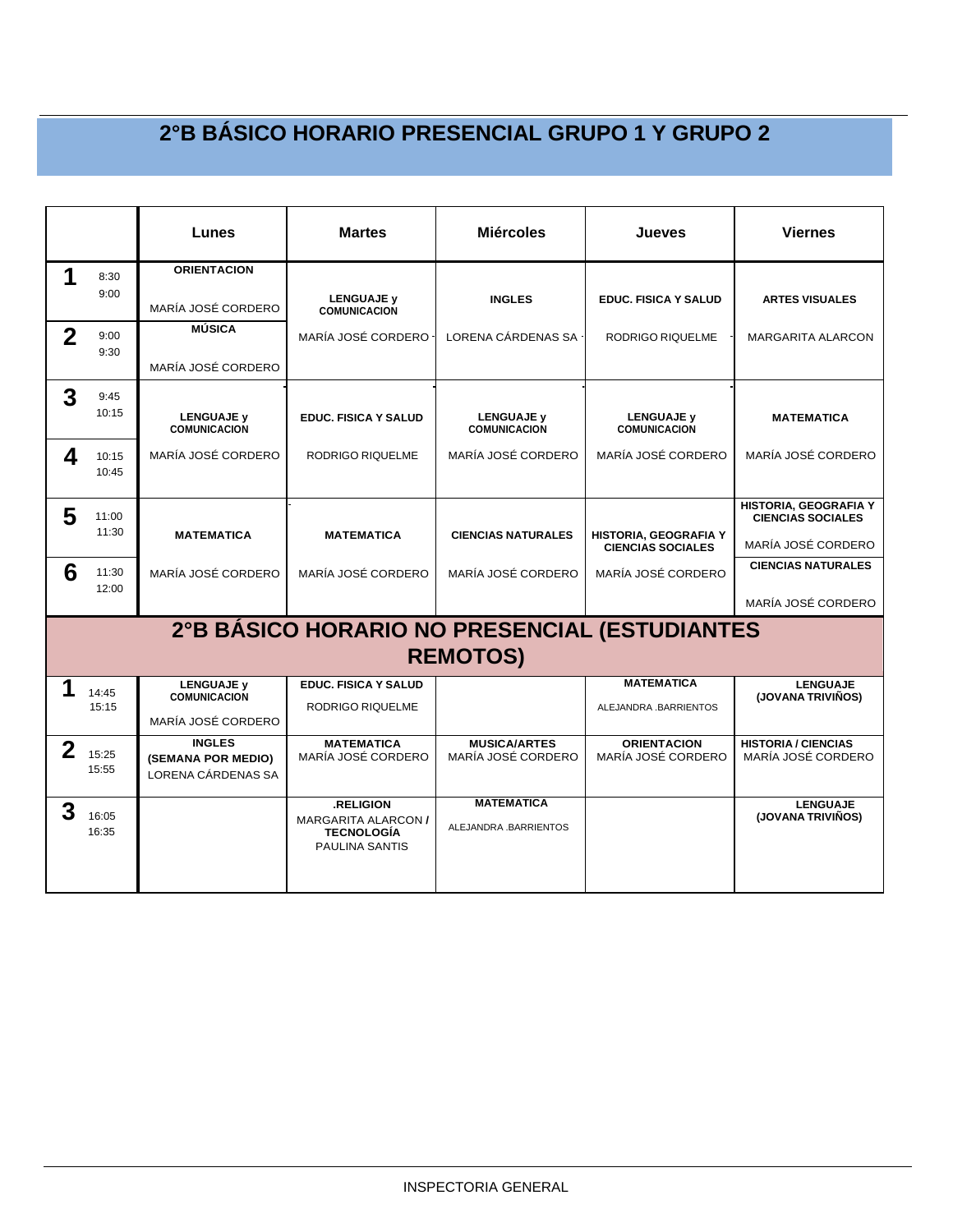|                |                | Lunes                                                     | <b>Martes</b>                                                                         | <b>Miércoles</b>                                                 | Jueves                                            | <b>Viernes</b>                                    |
|----------------|----------------|-----------------------------------------------------------|---------------------------------------------------------------------------------------|------------------------------------------------------------------|---------------------------------------------------|---------------------------------------------------|
| 1              | 8:30<br>9:00   | <b>ORIENTACION</b>                                        | <b>LENGUAJE y</b>                                                                     | <b>INGLES</b>                                                    | <b>EDUC. FISICA Y SALUD</b>                       | <b>ARTES VISUALES</b>                             |
|                |                | MARÍA JOSÉ CORDERO                                        | <b>COMUNICACION</b>                                                                   |                                                                  |                                                   |                                                   |
| $\overline{2}$ | 9:00<br>9:30   | MÚSICA                                                    | MARÍA JOSÉ CORDERO                                                                    | LORENA CÁRDENAS SA                                               | RODRIGO RIQUELME                                  | <b>MARGARITA ALARCON</b>                          |
|                |                | MARÍA JOSÉ CORDERO                                        |                                                                                       |                                                                  |                                                   |                                                   |
| 3              | 9:45           |                                                           |                                                                                       |                                                                  |                                                   |                                                   |
|                | 10:15          | <b>LENGUAJE y</b><br><b>COMUNICACION</b>                  | <b>EDUC. FISICA Y SALUD</b>                                                           | <b>LENGUAJE y</b><br><b>COMUNICACION</b>                         | <b>LENGUAJE y</b><br><b>COMUNICACION</b>          | <b>MATEMATICA</b>                                 |
| 4              | 10:15<br>10:45 | MARÍA JOSÉ CORDERO                                        | RODRIGO RIQUELME                                                                      | MARÍA JOSÉ CORDERO                                               | MARÍA JOSÉ CORDERO                                | MARÍA JOSÉ CORDERO                                |
| 5              | 11:00          |                                                           |                                                                                       |                                                                  |                                                   | HISTORIA, GEOGRAFIA Y<br><b>CIENCIAS SOCIALES</b> |
|                | 11:30          | <b>MATEMATICA</b>                                         | <b>MATEMATICA</b>                                                                     | <b>CIENCIAS NATURALES</b>                                        | HISTORIA, GEOGRAFIA Y<br><b>CIENCIAS SOCIALES</b> | MARÍA JOSÉ CORDERO                                |
| 6              | 11:30<br>12:00 | MARÍA JOSÉ CORDERO                                        | MARÍA JOSÉ CORDERO                                                                    | MARÍA JOSÉ CORDERO                                               | MARÍA JOSÉ CORDERO                                | <b>CIENCIAS NATURALES</b>                         |
|                |                |                                                           |                                                                                       |                                                                  |                                                   | MARÍA JOSÉ CORDERO                                |
|                |                |                                                           |                                                                                       | 2°B BÁSICO HORARIO NO PRESENCIAL (ESTUDIANTES<br><b>REMOTOS)</b> |                                                   |                                                   |
| 1              | 14:45          | <b>LENGUAJE v</b><br><b>COMUNICACION</b>                  | <b>EDUC. FISICA Y SALUD</b>                                                           |                                                                  | <b>MATEMATICA</b>                                 | <b>LENGUAJE</b><br>(JOVANA TRIVIÑOS)              |
|                | 15:15          | MARÍA JOSÉ CORDERO                                        | RODRIGO RIQUELME                                                                      |                                                                  | ALEJANDRA BARRIENTOS                              |                                                   |
| $\mathbf{2}$   | 15:25<br>15:55 | <b>INGLES</b><br>(SEMANA POR MEDIO)<br>LORENA CÁRDENAS SA | <b>MATEMATICA</b><br>MARÍA JOSÉ CORDERO                                               | <b>MUSICA/ARTES</b><br>MARÍA JOSÉ CORDERO                        | <b>ORIENTACION</b><br>MARÍA JOSÉ CORDERO          | <b>HISTORIA / CIENCIAS</b><br>MARÍA JOSÉ CORDERO  |
| 3              | 16:05<br>16:35 |                                                           | .RELIGION<br><b>MARGARITA ALARCON /</b><br><b>TECNOLOGÍA</b><br><b>PAULINA SANTIS</b> | <b>MATEMATICA</b><br>ALEJANDRA .BARRIENTOS                       |                                                   | <b>LENGUAJE</b><br>(JOVANA TRIVIÑOS)              |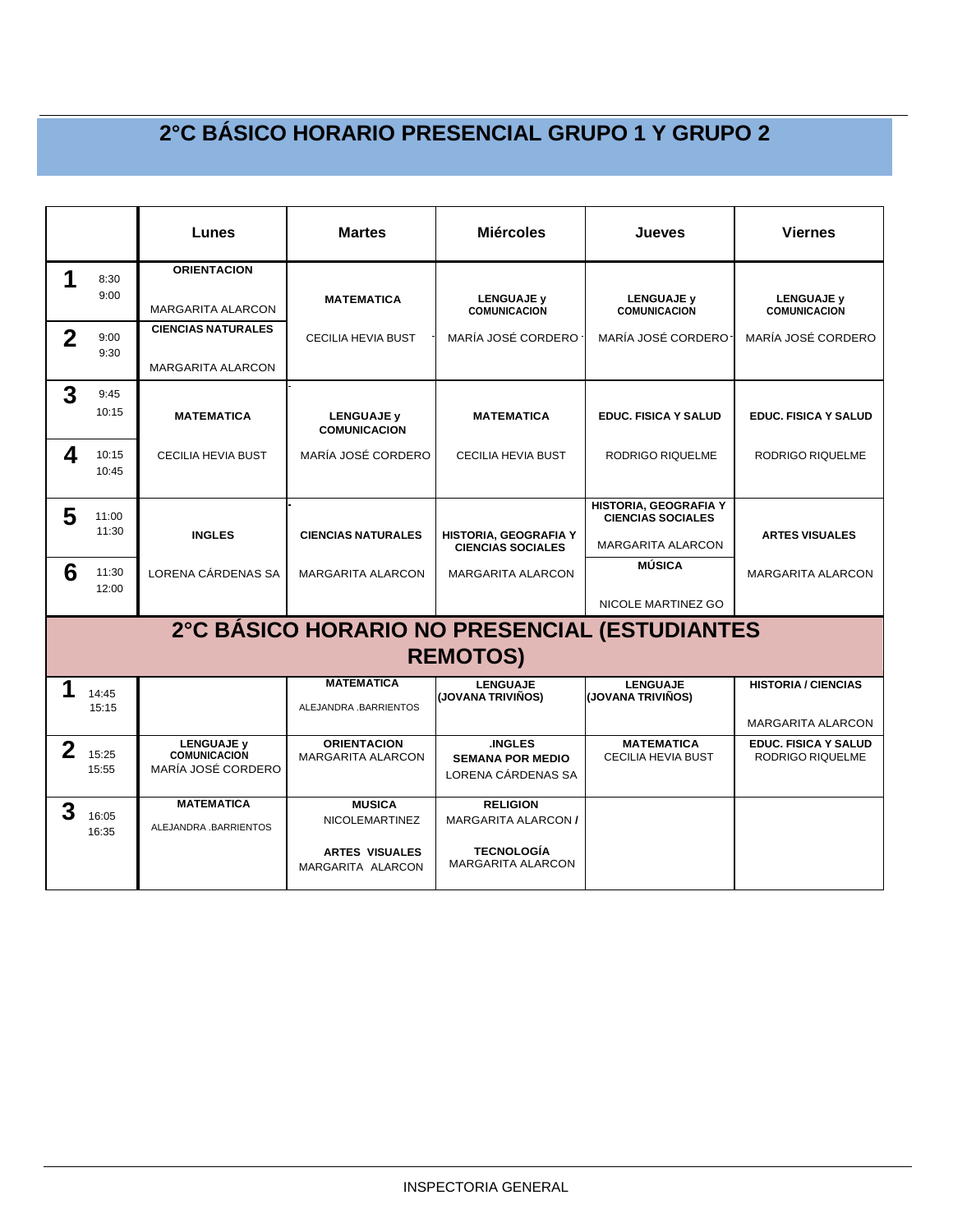|             |                | Lunes                                                          | <b>Martes</b>                                                                        | <b>Miércoles</b>                                                                               | Jueves                                                                        | <b>Viernes</b>                                         |
|-------------|----------------|----------------------------------------------------------------|--------------------------------------------------------------------------------------|------------------------------------------------------------------------------------------------|-------------------------------------------------------------------------------|--------------------------------------------------------|
| 1           | 8:30<br>9:00   | <b>ORIENTACION</b><br><b>MARGARITA ALARCON</b>                 | <b>MATEMATICA</b>                                                                    | <b>LENGUAJE y</b><br><b>COMUNICACION</b>                                                       | <b>LENGUAJE y</b><br><b>COMUNICACION</b>                                      | <b>LENGUAJE y</b><br><b>COMUNICACION</b>               |
| $\mathbf 2$ | 9:00<br>9:30   | <b>CIENCIAS NATURALES</b><br><b>MARGARITA ALARCON</b>          | <b>CECILIA HEVIA BUST</b>                                                            | MARÍA JOSÉ CORDERO                                                                             | MARÍA JOSÉ CORDERO-                                                           | MARÍA JOSÉ CORDERO                                     |
| 3           | 9:45<br>10:15  | <b>MATEMATICA</b>                                              | <b>LENGUAJE v</b><br><b>COMUNICACION</b>                                             | <b>MATEMATICA</b>                                                                              | <b>EDUC. FISICA Y SALUD</b>                                                   | <b>EDUC. FISICA Y SALUD</b>                            |
| 4           | 10:15<br>10:45 | <b>CECILIA HEVIA BUST</b>                                      | MARÍA JOSÉ CORDERO                                                                   | <b>CECILIA HEVIA BUST</b>                                                                      | RODRIGO RIQUELME                                                              | RODRIGO RIQUELME                                       |
| 5           | 11:00<br>11:30 | <b>INGLES</b>                                                  | <b>CIENCIAS NATURALES</b>                                                            | HISTORIA, GEOGRAFIA Y<br><b>CIENCIAS SOCIALES</b>                                              | HISTORIA, GEOGRAFIA Y<br><b>CIENCIAS SOCIALES</b><br><b>MARGARITA ALARCON</b> | <b>ARTES VISUALES</b>                                  |
| 6           | 11:30<br>12:00 | LORENA CÁRDENAS SA                                             | <b>MARGARITA ALARCON</b>                                                             | <b>MARGARITA ALARCON</b>                                                                       | MÚSICA<br>NICOLE MARTINEZ GO                                                  | <b>MARGARITA ALARCON</b>                               |
|             |                |                                                                |                                                                                      | <b>REMOTOS)</b>                                                                                | 2°C BÁSICO HORARIO NO PRESENCIAL (ESTUDIANTES                                 |                                                        |
| 1           | 14:45<br>15:15 |                                                                | <b>MATEMATICA</b><br>ALEJANDRA .BARRIENTOS                                           | <b>LENGUAJE</b><br>(JOVANA TRIVIÑOS)                                                           | <b>LENGUAJE</b><br>(JOVANA TRIVIÑOS)                                          | <b>HISTORIA / CIENCIAS</b><br><b>MARGARITA ALARCON</b> |
| $\mathbf 2$ | 15:25<br>15:55 | <b>LENGUAJE v</b><br><b>COMUNICACION</b><br>MARÍA JOSÉ CORDERO | <b>ORIENTACION</b><br><b>MARGARITA ALARCON</b>                                       | <b>INGLES</b><br><b>SEMANA POR MEDIO</b><br>LORENA CÁRDENAS SA                                 | <b>MATEMATICA</b><br><b>CECILIA HEVIA BUST</b>                                | <b>EDUC. FISICA Y SALUD</b><br><b>RODRIGO RIQUELME</b> |
| 3           | 16:05<br>16:35 | <b>MATEMATICA</b><br>ALEJANDRA BARRIENTOS                      | <b>MUSICA</b><br><b>NICOLEMARTINEZ</b><br><b>ARTES VISUALES</b><br>MARGARITA ALARCON | <b>RELIGION</b><br><b>MARGARITA ALARCON /</b><br><b>TECNOLOGÍA</b><br><b>MARGARITA ALARCON</b> |                                                                               |                                                        |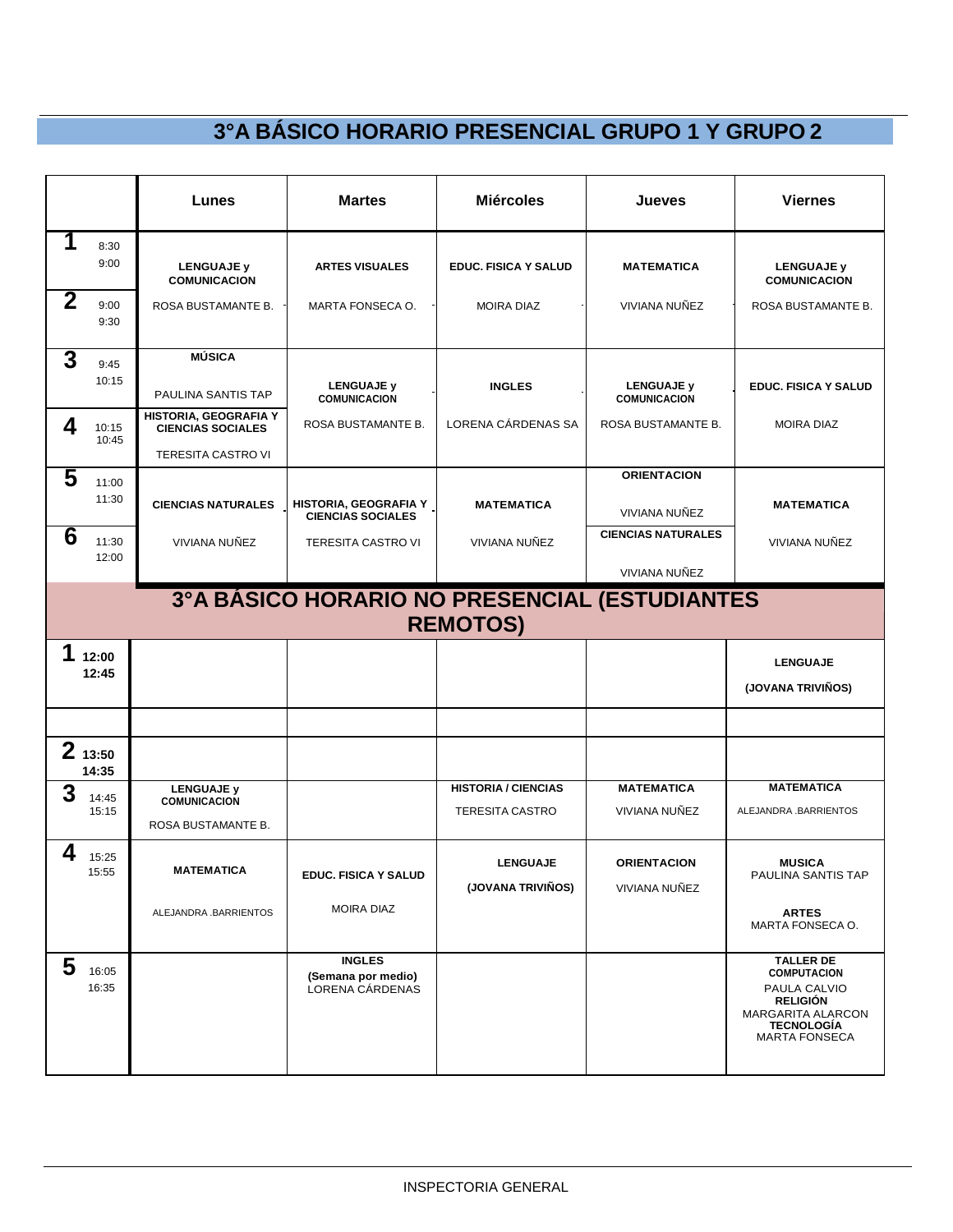|                   |                 | Lunes                                                                          | <b>Martes</b>                                          | <b>Miércoles</b>                                     | Jueves                                                           | <b>Viernes</b>                                                                                                                              |
|-------------------|-----------------|--------------------------------------------------------------------------------|--------------------------------------------------------|------------------------------------------------------|------------------------------------------------------------------|---------------------------------------------------------------------------------------------------------------------------------------------|
| 1<br>$\mathbf{2}$ | 8:30<br>9:00    | <b>LENGUAJE y</b><br><b>COMUNICACION</b>                                       | <b>ARTES VISUALES</b>                                  | <b>EDUC. FISICA Y SALUD</b>                          | <b>MATEMATICA</b>                                                | <b>LENGUAJE y</b><br><b>COMUNICACION</b>                                                                                                    |
|                   | 9:00<br>9:30    | ROSA BUSTAMANTE B.                                                             | MARTA FONSECA O.                                       | <b>MOIRA DIAZ</b>                                    | VIVIANA NUÑEZ                                                    | ROSA BUSTAMANTE B.                                                                                                                          |
| $\overline{3}$    | 9:45<br>10:15   | <b>MÚSICA</b><br>PAULINA SANTIS TAP                                            | <b>LENGUAJE y</b><br><b>COMUNICACION</b>               | <b>INGLES</b>                                        | <b>LENGUAJE y</b><br><b>COMUNICACION</b>                         | <b>EDUC. FISICA Y SALUD</b>                                                                                                                 |
| 4                 | 10:15<br>10:45  | HISTORIA, GEOGRAFIA Y<br><b>CIENCIAS SOCIALES</b><br><b>TERESITA CASTRO VI</b> | ROSA BUSTAMANTE B.                                     | LORENA CÁRDENAS SA                                   | ROSA BUSTAMANTE B.                                               | <b>MOIRA DIAZ</b>                                                                                                                           |
| 5                 | 11:00<br>11:30  | <b>CIENCIAS NATURALES</b>                                                      | HISTORIA, GEOGRAFIA Y<br><b>CIENCIAS SOCIALES</b>      | <b>MATEMATICA</b>                                    | <b>ORIENTACION</b><br>VIVIANA NUÑEZ<br><b>CIENCIAS NATURALES</b> | <b>MATEMATICA</b>                                                                                                                           |
| 6                 | 11:30<br>12:00  | VIVIANA NUÑEZ                                                                  | TERESITA CASTRO VI                                     | VIVIANA NUÑEZ                                        | VIVIANA NUÑEZ                                                    | VIVIANA NUÑEZ                                                                                                                               |
|                   |                 |                                                                                | 3ºA BÁSICO HORARIO NO PRESENCIAL (ESTUDIANTES          | <b>REMOTOS)</b>                                      |                                                                  |                                                                                                                                             |
| 1                 | 12:00<br>12:45  |                                                                                |                                                        |                                                      |                                                                  | <b>LENGUAJE</b><br>(JOVANA TRIVIÑOS)                                                                                                        |
|                   | 213:50<br>14:35 |                                                                                |                                                        |                                                      |                                                                  |                                                                                                                                             |
| 3                 | 14:45<br>15:15  | <b>LENGUAJE v</b><br><b>COMUNICACION</b><br>ROSA BUSTAMANTE B.                 |                                                        | <b>HISTORIA / CIENCIAS</b><br><b>TERESITA CASTRO</b> | <b>MATEMATICA</b><br>VIVIANA NUÑEZ                               | <b>MATEMATICA</b><br>ALEJANDRA .BARRIENTOS                                                                                                  |
| 4                 | 15:25<br>15:55  | <b>MATEMATICA</b>                                                              | EDUC. FISICA Y SALUD                                   | <b>LENGUAJE</b><br>(JOVANA TRIVIÑOS)                 | <b>ORIENTACION</b><br>VIVIANA NUÑEZ                              | <b>MUSICA</b><br>PAULINA SANTIS TAP                                                                                                         |
|                   |                 | ALEJANDRA .BARRIENTOS                                                          | <b>MOIRA DIAZ</b>                                      |                                                      |                                                                  | <b>ARTES</b><br>MARTA FONSECA O.                                                                                                            |
| 5                 | 16:05<br>16:35  |                                                                                | <b>INGLES</b><br>(Semana por medio)<br>LORENA CÁRDENAS |                                                      |                                                                  | <b>TALLER DE</b><br><b>COMPUTACION</b><br>PAULA CALVIO<br><b>RELIGIÓN</b><br>MARGARITA ALARCON<br><b>TECNOLOGIA</b><br><b>MARTA FONSECA</b> |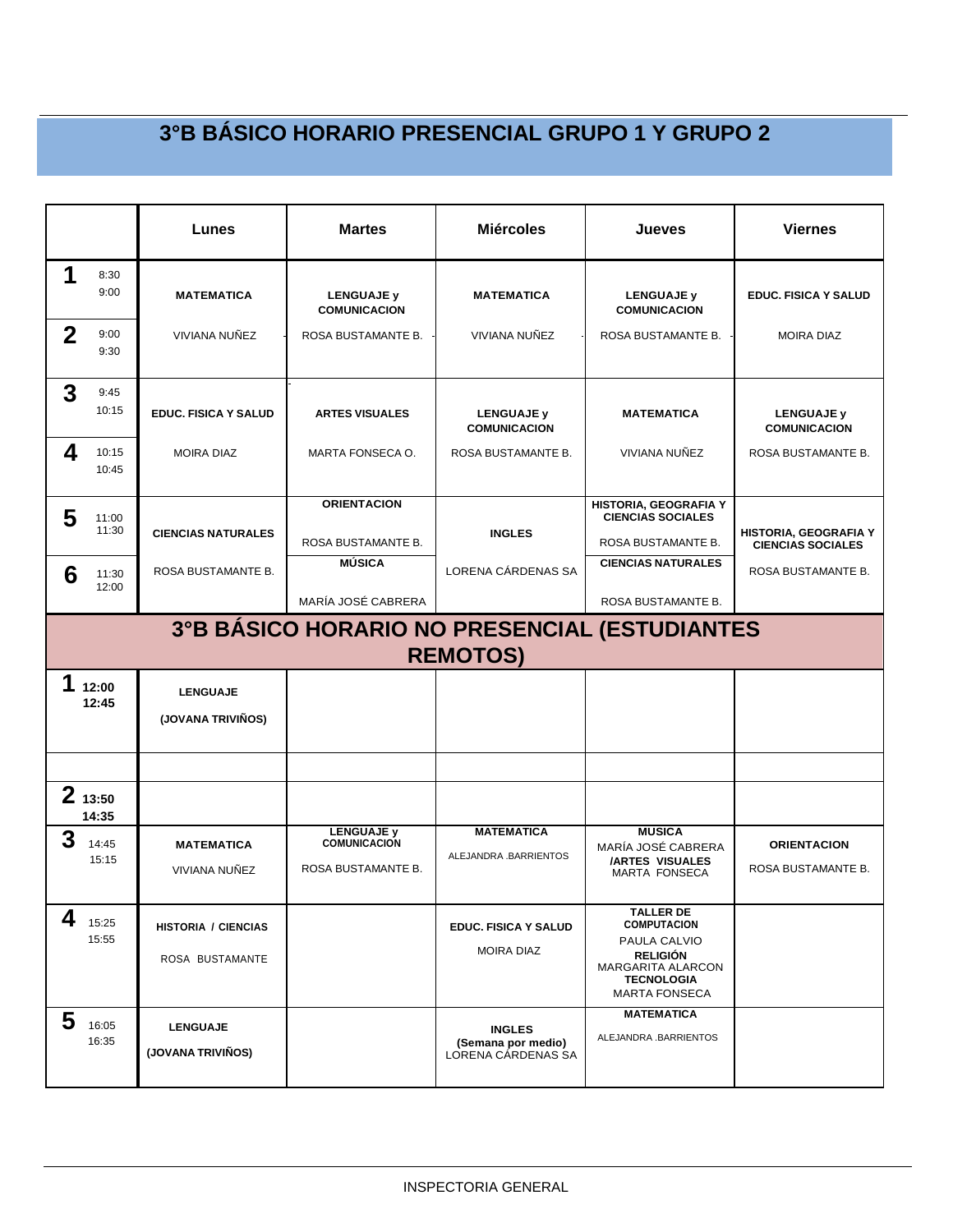|             |                                                                  | Lunes                                         | <b>Martes</b>                                                  | <b>Miércoles</b>                                          | Jueves                                                                                                                                      | <b>Viernes</b>                                    |  |  |  |
|-------------|------------------------------------------------------------------|-----------------------------------------------|----------------------------------------------------------------|-----------------------------------------------------------|---------------------------------------------------------------------------------------------------------------------------------------------|---------------------------------------------------|--|--|--|
| 1           | 8:30<br>9:00                                                     | <b>MATEMATICA</b>                             | <b>LENGUAJE y</b><br><b>COMUNICACION</b>                       | <b>MATEMATICA</b>                                         | <b>LENGUAJE y</b><br><b>COMUNICACION</b>                                                                                                    | <b>EDUC. FISICA Y SALUD</b>                       |  |  |  |
| $\mathbf 2$ | 9:00<br>9:30                                                     | VIVIANA NUÑEZ                                 | ROSA BUSTAMANTE B.                                             | VIVIANA NUÑEZ                                             | ROSA BUSTAMANTE B.                                                                                                                          | <b>MOIRA DIAZ</b>                                 |  |  |  |
| 3           | 9:45<br>10:15                                                    | <b>EDUC. FISICA Y SALUD</b>                   | <b>ARTES VISUALES</b>                                          | <b>LENGUAJE y</b><br><b>COMUNICACION</b>                  | <b>MATEMATICA</b>                                                                                                                           | <b>LENGUAJE y</b><br><b>COMUNICACION</b>          |  |  |  |
| 4           | 10:15<br>10:45                                                   | <b>MOIRA DIAZ</b>                             | MARTA FONSECA O.                                               | ROSA BUSTAMANTE B.                                        | VIVIANA NUÑEZ                                                                                                                               | ROSA BUSTAMANTE B.                                |  |  |  |
| 5           | 11:00<br>11:30                                                   | <b>CIENCIAS NATURALES</b>                     | <b>ORIENTACION</b><br>ROSA BUSTAMANTE B.                       | <b>INGLES</b>                                             | HISTORIA, GEOGRAFIA Y<br><b>CIENCIAS SOCIALES</b><br>ROSA BUSTAMANTE B.                                                                     | HISTORIA, GEOGRAFIA Y<br><b>CIENCIAS SOCIALES</b> |  |  |  |
| 6           | 11:30<br>12:00                                                   | ROSA BUSTAMANTE B.                            | MÚSICA<br>MARÍA JOSÉ CABRERA                                   | LORENA CÁRDENAS SA                                        | <b>CIENCIAS NATURALES</b><br>ROSA BUSTAMANTE B.                                                                                             | ROSA BUSTAMANTE B.                                |  |  |  |
|             | 3°B BÁSICO HORARIO NO PRESENCIAL (ESTUDIANTES<br><b>REMOTOS)</b> |                                               |                                                                |                                                           |                                                                                                                                             |                                                   |  |  |  |
| 1           | 12:00<br>12:45                                                   | <b>LENGUAJE</b><br>(JOVANA TRIVIÑOS)          |                                                                |                                                           |                                                                                                                                             |                                                   |  |  |  |
|             |                                                                  |                                               |                                                                |                                                           |                                                                                                                                             |                                                   |  |  |  |
|             | 213:50<br>14:35                                                  |                                               |                                                                |                                                           |                                                                                                                                             |                                                   |  |  |  |
| 3           | 14:45<br>15:15                                                   | <b>MATEMATICA</b><br>VIVIANA NUÑEZ            | <b>LENGUAJE y</b><br><b>COMUNICACION</b><br>ROSA BUSTAMANTE B. | <b>MATEMATICA</b><br>ALEJANDRA .BARRIENTOS                | <b>MUSICA</b><br>MARÍA JOSÉ CABRERA<br><b>/ARTES VISUALES</b><br><b>MARTA FONSECA</b>                                                       | <b>ORIENTACION</b><br>ROSA BUSTAMANTE B.          |  |  |  |
| 4           | 15:25<br>15:55                                                   | <b>HISTORIA / CIENCIAS</b><br>ROSA BUSTAMANTE |                                                                | <b>EDUC. FISICA Y SALUD</b><br><b>MOIRA DIAZ</b>          | <b>TALLER DE</b><br><b>COMPUTACION</b><br>PAULA CALVIO<br><b>RELIGIÓN</b><br>MARGARITA ALARCON<br><b>TECNOLOGIA</b><br><b>MARTA FONSECA</b> |                                                   |  |  |  |
| 5           | 16:05<br>16:35                                                   | <b>LENGUAJE</b><br>(JOVANA TRIVIÑOS)          |                                                                | <b>INGLES</b><br>(Semana por medio)<br>LORENA CÁRDENAS SA | <b>MATEMATICA</b><br>ALEJANDRA .BARRIENTOS                                                                                                  |                                                   |  |  |  |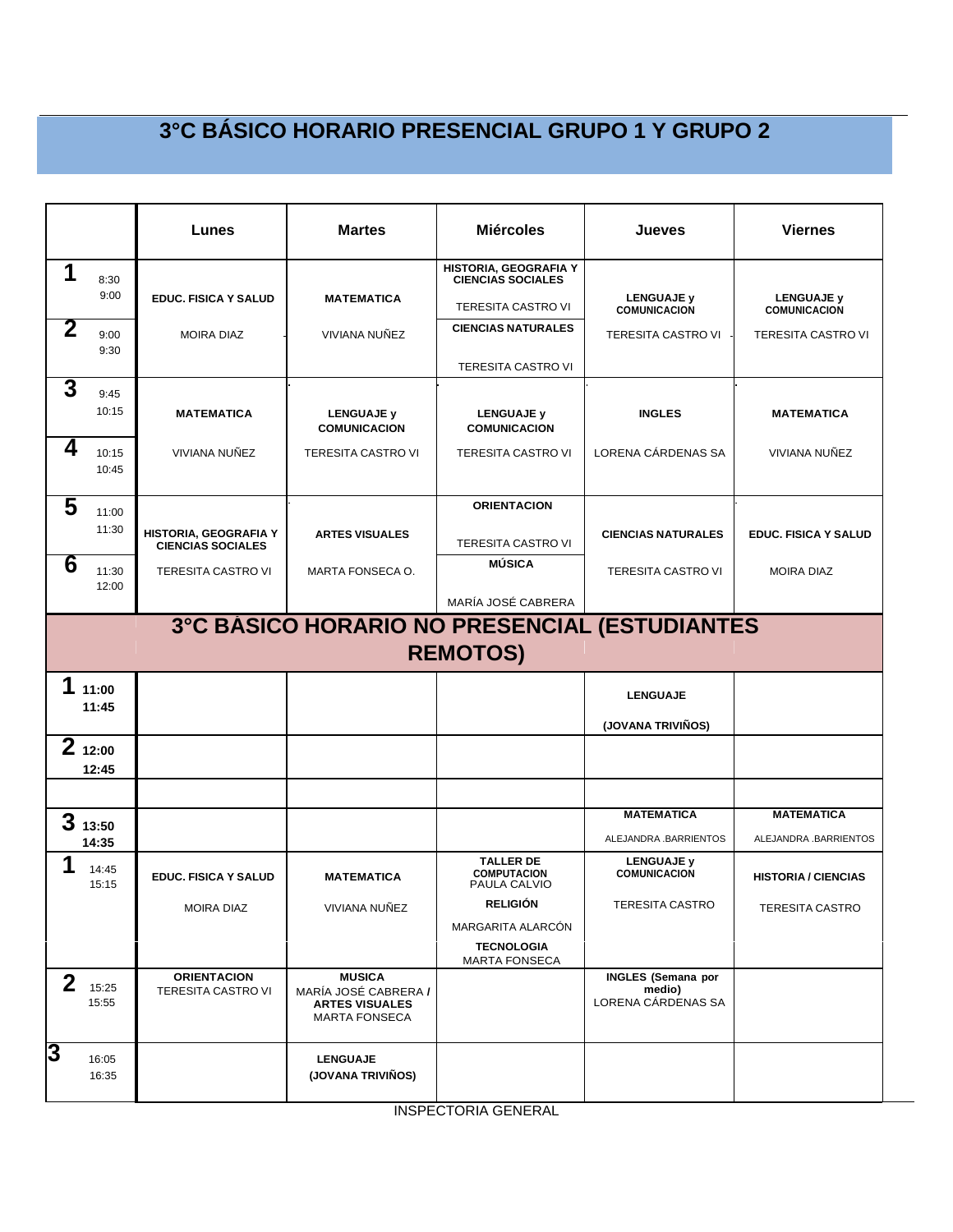|                         |                 | Lunes                                             | <b>Martes</b>                                                                          | <b>Miércoles</b>                                                               | Jueves                                                    | <b>Viernes</b>                             |
|-------------------------|-----------------|---------------------------------------------------|----------------------------------------------------------------------------------------|--------------------------------------------------------------------------------|-----------------------------------------------------------|--------------------------------------------|
| 1                       | 8:30<br>9:00    | <b>EDUC. FISICA Y SALUD</b>                       | <b>MATEMATICA</b>                                                                      | HISTORIA, GEOGRAFIA Y<br><b>CIENCIAS SOCIALES</b><br><b>TERESITA CASTRO VI</b> | <b>LENGUAJE y</b>                                         | <b>LENGUAJE y</b>                          |
| 2                       | 9:00<br>9:30    | <b>MOIRA DIAZ</b>                                 | VIVIANA NUÑEZ                                                                          | <b>CIENCIAS NATURALES</b>                                                      | <b>COMUNICACION</b><br><b>TERESITA CASTRO VI</b>          | <b>COMUNICACION</b><br>TERESITA CASTRO VI  |
|                         |                 |                                                   |                                                                                        | <b>TERESITA CASTRO VI</b>                                                      |                                                           |                                            |
| 3                       | 9:45<br>10:15   | <b>MATEMATICA</b>                                 | <b>LENGUAJE y</b><br><b>COMUNICACION</b>                                               | <b>LENGUAJE y</b><br><b>COMUNICACION</b>                                       | <b>INGLES</b>                                             | <b>MATEMATICA</b>                          |
| 4                       | 10:15<br>10:45  | VIVIANA NUÑEZ                                     | TERESITA CASTRO VI                                                                     | TERESITA CASTRO VI                                                             | LORENA CÁRDENAS SA                                        | VIVIANA NUÑEZ                              |
| 5                       | 11:00           |                                                   |                                                                                        | <b>ORIENTACION</b>                                                             |                                                           |                                            |
|                         | 11:30           | HISTORIA, GEOGRAFIA Y<br><b>CIENCIAS SOCIALES</b> | <b>ARTES VISUALES</b>                                                                  | <b>TERESITA CASTRO VI</b>                                                      | <b>CIENCIAS NATURALES</b>                                 | <b>EDUC. FISICA Y SALUD</b>                |
| $\overline{6}$          | 11:30<br>12:00  | <b>TERESITA CASTRO VI</b>                         | MARTA FONSECA O.                                                                       | <b>MÚSICA</b>                                                                  | <b>TERESITA CASTRO VI</b>                                 | <b>MOIRA DIAZ</b>                          |
|                         |                 |                                                   |                                                                                        | MARÍA JOSÉ CABRERA                                                             |                                                           |                                            |
|                         |                 |                                                   |                                                                                        | <b>REMOTOS)</b>                                                                | 3°C BÁSICO HORARIO NO PRESENCIAL (ESTUDIANTES             |                                            |
| 1                       | 11:00<br>11:45  |                                                   |                                                                                        |                                                                                | <b>LENGUAJE</b>                                           |                                            |
|                         |                 |                                                   |                                                                                        |                                                                                | (JOVANA TRIVIÑOS)                                         |                                            |
|                         | 212:00<br>12:45 |                                                   |                                                                                        |                                                                                |                                                           |                                            |
|                         |                 |                                                   |                                                                                        |                                                                                |                                                           |                                            |
|                         | 313:50<br>14:35 |                                                   |                                                                                        |                                                                                | <b>MATEMATICA</b><br>ALEJANDRA .BARRIENTOS                | <b>MATEMATICA</b><br>ALEJANDRA .BARRIENTOS |
| 1                       | 14:45<br>15:15  | <b>EDUC. FISICA Y SALUD</b>                       | <b>MATEMATICA</b>                                                                      | <b>TALLER DE</b><br><b>COMPUTACION</b><br>PAULA CALVIO                         | <b>LENGUAJE y</b><br><b>COMUNICACION</b>                  | <b>HISTORIA / CIENCIAS</b>                 |
|                         |                 | MOIRA DIAZ                                        | VIVIANA NUÑEZ                                                                          | <b>RELIGION</b>                                                                | TERESITA CASTRO                                           | <b>TERESITA CASTRO</b>                     |
|                         |                 |                                                   |                                                                                        | MARGARITA ALARCÓN                                                              |                                                           |                                            |
|                         |                 |                                                   |                                                                                        | <b>TECNOLOGIA</b><br><b>MARTA FONSECA</b>                                      |                                                           |                                            |
| $\mathbf 2$             | 15:25<br>15:55  | <b>ORIENTACION</b><br><b>TERESITA CASTRO VI</b>   | <b>MUSICA</b><br>MARÍA JOSÉ CABRERA /<br><b>ARTES VISUALES</b><br><b>MARTA FONSECA</b> |                                                                                | <b>INGLES</b> (Semana por<br>medio)<br>LORENA CÁRDENAS SA |                                            |
| $\overline{\mathbf{3}}$ | 16:05<br>16:35  |                                                   | <b>LENGUAJE</b><br>(JOVANA TRIVIÑOS)                                                   |                                                                                |                                                           |                                            |

INSPECTORIA GENERAL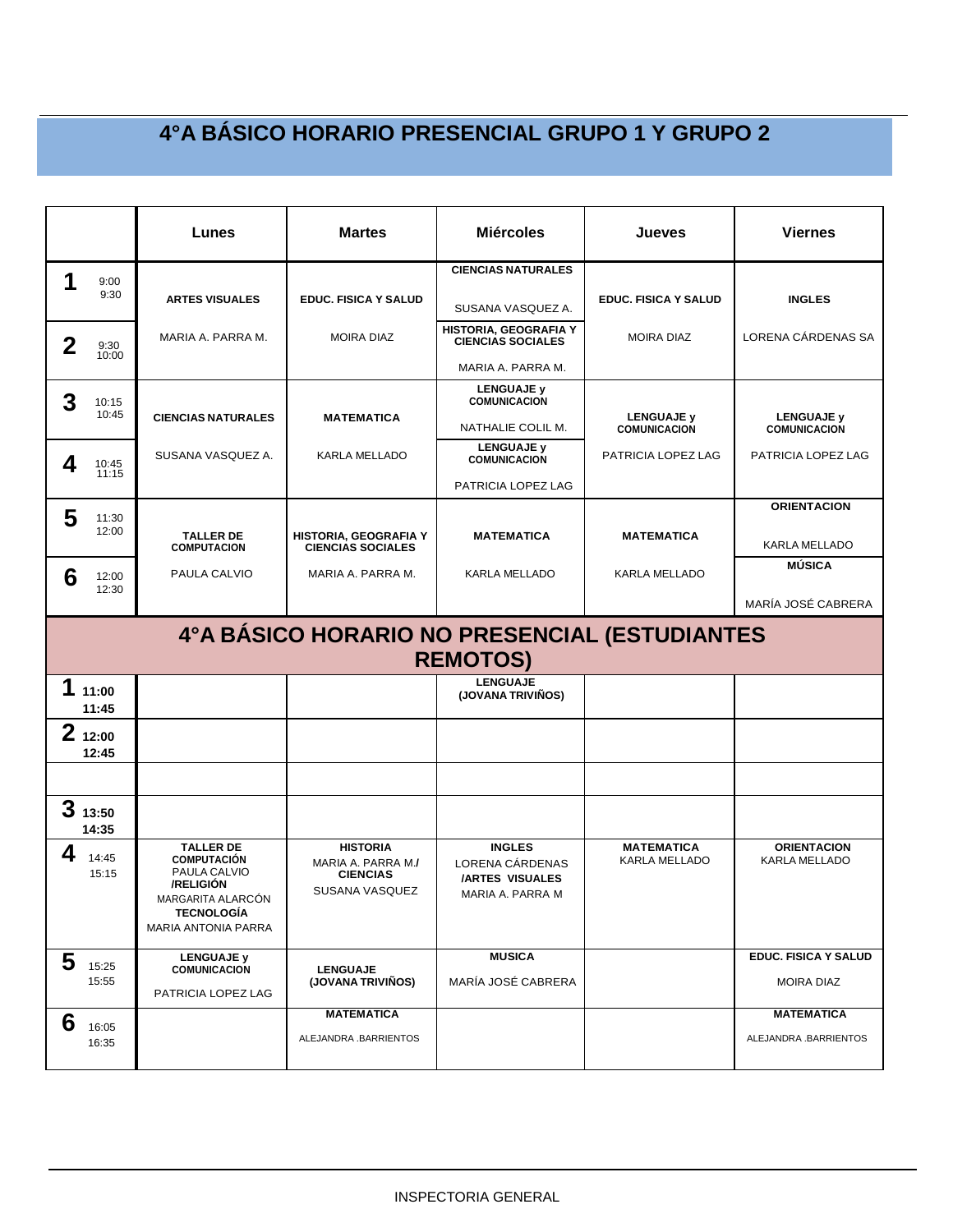|                |                                               | Lunes                                                                                                                                       | <b>Martes</b>                                                              | <b>Miércoles</b>                                                               | Jueves                                   | <b>Viernes</b>                                   |  |  |  |
|----------------|-----------------------------------------------|---------------------------------------------------------------------------------------------------------------------------------------------|----------------------------------------------------------------------------|--------------------------------------------------------------------------------|------------------------------------------|--------------------------------------------------|--|--|--|
|                |                                               |                                                                                                                                             |                                                                            | <b>CIENCIAS NATURALES</b>                                                      |                                          |                                                  |  |  |  |
| 1              | 9:00<br>9:30                                  | <b>ARTES VISUALES</b>                                                                                                                       | <b>EDUC. FISICA Y SALUD</b>                                                | SUSANA VASQUEZ A.                                                              | <b>EDUC. FISICA Y SALUD</b>              | <b>INGLES</b>                                    |  |  |  |
| $\overline{2}$ | 9:30<br>10:00                                 | MARIA A. PARRA M.                                                                                                                           | <b>MOIRA DIAZ</b>                                                          | HISTORIA, GEOGRAFIA Y<br><b>CIENCIAS SOCIALES</b>                              | <b>MOIRA DIAZ</b>                        | LORENA CÁRDENAS SA                               |  |  |  |
|                |                                               |                                                                                                                                             |                                                                            | MARIA A. PARRA M.                                                              |                                          |                                                  |  |  |  |
| 3              | 10:15<br>10:45                                |                                                                                                                                             |                                                                            | <b>LENGUAJE y</b><br><b>COMUNICACION</b>                                       |                                          |                                                  |  |  |  |
|                |                                               | <b>CIENCIAS NATURALES</b>                                                                                                                   | <b>MATEMATICA</b>                                                          | NATHALIE COLIL M.                                                              | <b>LENGUAJE v</b><br><b>COMUNICACION</b> | <b>LENGUAJE y</b><br><b>COMUNICACION</b>         |  |  |  |
| 4              | 10:45                                         | SUSANA VASQUEZ A.                                                                                                                           | KARLA MELLADO                                                              | <b>LENGUAJE y</b><br><b>COMUNICACION</b>                                       | PATRICIA LOPEZ LAG                       | PATRICIA LOPEZ LAG                               |  |  |  |
|                | 11:15                                         |                                                                                                                                             |                                                                            | PATRICIA LOPEZ LAG                                                             |                                          |                                                  |  |  |  |
| 5              | 11:30                                         |                                                                                                                                             |                                                                            |                                                                                |                                          | <b>ORIENTACION</b>                               |  |  |  |
|                | 12:00                                         | <b>TALLER DE</b><br><b>COMPUTACION</b>                                                                                                      | <b>HISTORIA, GEOGRAFIA Y</b><br><b>CIENCIAS SOCIALES</b>                   | <b>MATEMATICA</b>                                                              | <b>MATEMATICA</b>                        | KARLA MELLADO                                    |  |  |  |
| 6              | 12:00                                         | PAULA CALVIO                                                                                                                                | MARIA A. PARRA M.                                                          | <b>KARLA MELLADO</b>                                                           | KARLA MELLADO                            | <b>MÚSICA</b>                                    |  |  |  |
|                | 12:30                                         |                                                                                                                                             |                                                                            |                                                                                |                                          | MARÍA JOSÉ CABRERA                               |  |  |  |
|                | 4°A BÁSICO HORARIO NO PRESENCIAL (ESTUDIANTES |                                                                                                                                             |                                                                            |                                                                                |                                          |                                                  |  |  |  |
|                |                                               |                                                                                                                                             |                                                                            | <b>REMOTOS)</b>                                                                |                                          |                                                  |  |  |  |
| 1              | 11:00                                         |                                                                                                                                             |                                                                            | <b>LENGUAJE</b><br>(JOVANA TRIVIÑOS)                                           |                                          |                                                  |  |  |  |
|                | 11:45                                         |                                                                                                                                             |                                                                            |                                                                                |                                          |                                                  |  |  |  |
|                | 212:00<br>12:45                               |                                                                                                                                             |                                                                            |                                                                                |                                          |                                                  |  |  |  |
|                |                                               |                                                                                                                                             |                                                                            |                                                                                |                                          |                                                  |  |  |  |
|                | 313:50<br>14:35                               |                                                                                                                                             |                                                                            |                                                                                |                                          |                                                  |  |  |  |
| 4              | 14:45<br>15:15                                | <b>TALLER DE</b><br><b>COMPUTACIÓN</b><br>PAULA CALVIO<br>/RELIGIÓN<br>MARGARITA ALARCÓN<br><b>TECNOLOGÍA</b><br><b>MARIA ANTONIA PARRA</b> | <b>HISTORIA</b><br>MARIA A. PARRA M./<br><b>CIENCIAS</b><br>SUSANA VASQUEZ | <b>INGLES</b><br>LORENA CÁRDENAS<br><b>/ARTES VISUALES</b><br>MARIA A. PARRA M | <b>MATEMATICA</b><br>KARLA MELLADO       | <b>ORIENTACION</b><br>KARLA MELLADO              |  |  |  |
| 5              | 15:25<br>15:55                                | <b>LENGUAJE y</b><br><b>COMUNICACION</b><br>PATRICIA LOPEZ LAG                                                                              | <b>LENGUAJE</b><br>(JOVANA TRIVIÑOS)                                       | <b>MUSICA</b><br>MARÍA JOSÉ CABRERA                                            |                                          | <b>EDUC. FISICA Y SALUD</b><br><b>MOIRA DIAZ</b> |  |  |  |
| 6              | 16:05<br>16:35                                |                                                                                                                                             | <b>MATEMATICA</b><br>ALEJANDRA .BARRIENTOS                                 |                                                                                |                                          | <b>MATEMATICA</b><br>ALEJANDRA .BARRIENTOS       |  |  |  |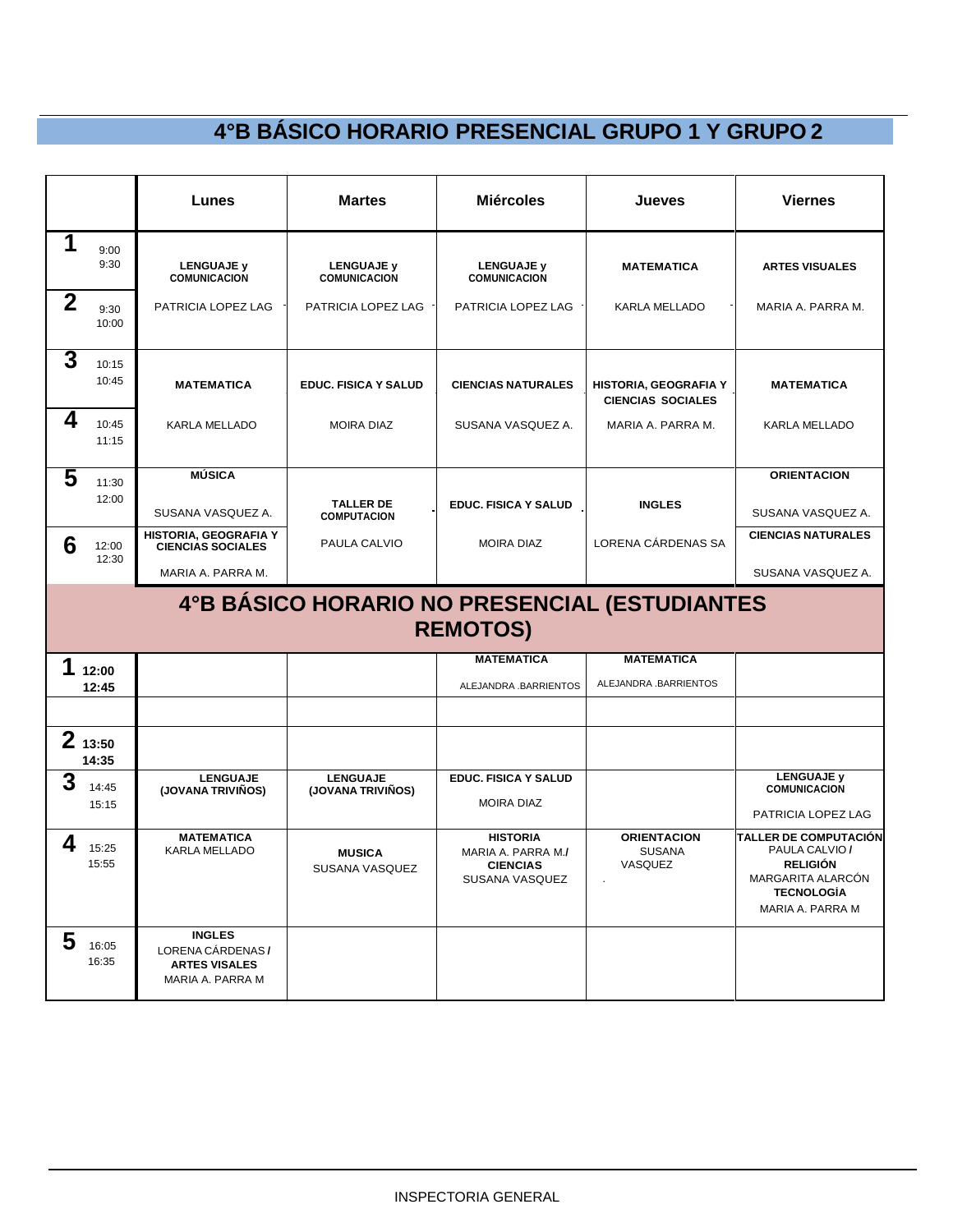|             |                 | Lunes                                                                          | <b>Martes</b>                                 | <b>Miércoles</b>                                                           | Jueves                                                   | <b>Viernes</b>                                                                                                                  |
|-------------|-----------------|--------------------------------------------------------------------------------|-----------------------------------------------|----------------------------------------------------------------------------|----------------------------------------------------------|---------------------------------------------------------------------------------------------------------------------------------|
| 1           | 9:00<br>9:30    | <b>LENGUAJE y</b><br><b>COMUNICACION</b>                                       | <b>LENGUAJE y</b><br><b>COMUNICACION</b>      | <b>LENGUAJE y</b><br><b>COMUNICACION</b>                                   | <b>MATEMATICA</b>                                        | <b>ARTES VISUALES</b>                                                                                                           |
| $\mathbf 2$ | 9:30<br>10:00   | PATRICIA LOPEZ LAG                                                             | PATRICIA LOPEZ LAG                            | PATRICIA LOPEZ LAG                                                         | KARLA MELLADO                                            | MARIA A. PARRA M.                                                                                                               |
| 3           | 10:15<br>10:45  | <b>MATEMATICA</b>                                                              | <b>EDUC. FISICA Y SALUD</b>                   | <b>CIENCIAS NATURALES</b>                                                  | <b>HISTORIA, GEOGRAFIA Y</b><br><b>CIENCIAS SOCIALES</b> | <b>MATEMATICA</b>                                                                                                               |
| 4           | 10:45<br>11:15  | <b>KARLA MELLADO</b>                                                           | <b>MOIRA DIAZ</b>                             | SUSANA VASQUEZ A.                                                          | MARIA A. PARRA M.                                        | <b>KARLA MELLADO</b>                                                                                                            |
| 5           | 11:30           | <b>MÚSICA</b>                                                                  |                                               |                                                                            |                                                          | <b>ORIENTACION</b>                                                                                                              |
|             | 12:00           | SUSANA VASQUEZ A.                                                              | <b>TALLER DE</b><br><b>COMPUTACION</b>        | <b>EDUC. FISICA Y SALUD</b>                                                | <b>INGLES</b>                                            | SUSANA VASQUEZ A.                                                                                                               |
| 6           | 12:00           | HISTORIA, GEOGRAFIA Y<br><b>CIENCIAS SOCIALES</b>                              | PAULA CALVIO                                  | <b>MOIRA DIAZ</b>                                                          | LORENA CÁRDENAS SA                                       | <b>CIENCIAS NATURALES</b>                                                                                                       |
|             | 12:30           | MARIA A. PARRA M.                                                              |                                               |                                                                            |                                                          | SUSANA VASQUEZ A.                                                                                                               |
|             |                 |                                                                                | 4°B BÁSICO HORARIO NO PRESENCIAL (ESTUDIANTES | <b>REMOTOS)</b>                                                            |                                                          |                                                                                                                                 |
| 1           | 12:00           |                                                                                |                                               | <b>MATEMATICA</b>                                                          | <b>MATEMATICA</b>                                        |                                                                                                                                 |
|             | 12:45           |                                                                                |                                               | ALEJANDRA .BARRIENTOS                                                      | ALEJANDRA .BARRIENTOS                                    |                                                                                                                                 |
|             |                 |                                                                                |                                               |                                                                            |                                                          |                                                                                                                                 |
|             | 213:50<br>14:35 |                                                                                |                                               |                                                                            |                                                          |                                                                                                                                 |
| 3           | 14:45<br>15:15  | <b>LENGUAJE</b><br>(JOVANA TRIVIÑOS)                                           | <b>LENGUAJE</b><br>(JOVANA TRIVIÑOS)          | <b>EDUC. FISICA Y SALUD</b><br><b>MOIRA DIAZ</b>                           |                                                          | <b>LENGUAJE y</b><br><b>COMUNICACION</b><br>PATRICIA LOPEZ LAG                                                                  |
| 4           | 15:25<br>15:55  | <b>MATEMATICA</b><br>KARLA MELLADO                                             | <b>MUSICA</b><br>SUSANA VASQUEZ               | <b>HISTORIA</b><br>MARIA A. PARRA M./<br><b>CIENCIAS</b><br>SUSANA VASQUEZ | <b>ORIENTACION</b><br><b>SUSANA</b><br>VASQUEZ           | <b>TALLER DE COMPUTACIÓN</b><br>PAULA CALVIO /<br><b>RELIGIÓN</b><br>MARGARITA ALARCON<br><b>TECNOLOGIA</b><br>MARIA A. PARRA M |
| 5           | 16:05<br>16:35  | <b>INGLES</b><br>LORENA CÁRDENAS /<br><b>ARTES VISALES</b><br>MARIA A. PARRA M |                                               |                                                                            |                                                          |                                                                                                                                 |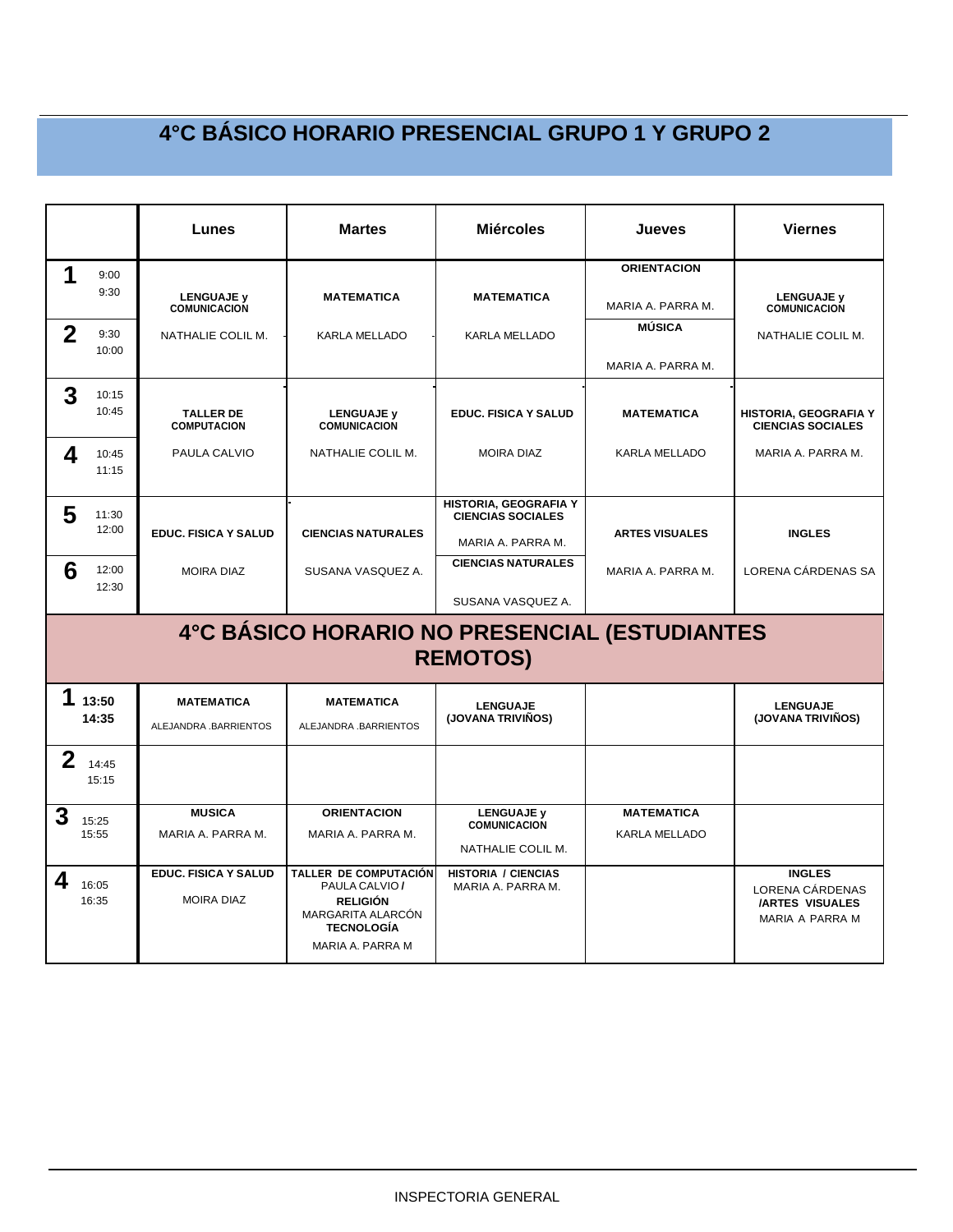|             |                | Lunes                                            | <b>Martes</b>                                                                                                                   | <b>Miércoles</b>                                              | Jueves                             | <b>Viernes</b>                                                                |
|-------------|----------------|--------------------------------------------------|---------------------------------------------------------------------------------------------------------------------------------|---------------------------------------------------------------|------------------------------------|-------------------------------------------------------------------------------|
| 1           | 9:00           |                                                  |                                                                                                                                 |                                                               | <b>ORIENTACION</b>                 |                                                                               |
|             | 9:30           | <b>LENGUAJE y</b><br><b>COMUNICACION</b>         | <b>MATEMATICA</b>                                                                                                               | <b>MATEMATICA</b>                                             | MARIA A. PARRA M.                  | <b>LENGUAJE y</b><br><b>COMUNICACION</b>                                      |
| $\mathbf 2$ | 9:30<br>10:00  | NATHALIE COLIL M.                                | KARLA MELLADO                                                                                                                   | KARLA MELLADO                                                 | <b>MÚSICA</b>                      | NATHALIE COLIL M.                                                             |
|             |                |                                                  |                                                                                                                                 |                                                               | MARIA A. PARRA M.                  |                                                                               |
| 3           | 10:15          |                                                  |                                                                                                                                 |                                                               |                                    |                                                                               |
|             | 10:45          | <b>TALLER DE</b><br><b>COMPUTACION</b>           | <b>LENGUAJE y</b><br>COMUNICACION                                                                                               | <b>EDUC. FISICA Y SALUD</b>                                   | <b>MATEMATICA</b>                  | HISTORIA, GEOGRAFIA Y<br><b>CIENCIAS SOCIALES</b>                             |
| 4           | 10:45<br>11:15 | PAULA CALVIO                                     | NATHALIE COLIL M.                                                                                                               | <b>MOIRA DIAZ</b>                                             | <b>KARLA MELLADO</b>               | MARIA A. PARRA M.                                                             |
|             |                |                                                  |                                                                                                                                 |                                                               |                                    |                                                                               |
| 5           | 11:30          |                                                  |                                                                                                                                 | HISTORIA, GEOGRAFIA Y<br><b>CIENCIAS SOCIALES</b>             |                                    |                                                                               |
|             | 12:00          | <b>EDUC. FISICA Y SALUD</b>                      | <b>CIENCIAS NATURALES</b>                                                                                                       | MARIA A. PARRA M.                                             | <b>ARTES VISUALES</b>              | <b>INGLES</b>                                                                 |
| 6           | 12:00<br>12:30 | <b>MOIRA DIAZ</b>                                | SUSANA VASQUEZ A.                                                                                                               | <b>CIENCIAS NATURALES</b>                                     | MARIA A. PARRA M.                  | LORENA CÁRDENAS SA                                                            |
|             |                |                                                  |                                                                                                                                 | SUSANA VASQUEZ A.                                             |                                    |                                                                               |
|             |                |                                                  | 4°C BÁSICO HORARIO NO PRESENCIAL (ESTUDIANTES                                                                                   | <b>REMOTOS)</b>                                               |                                    |                                                                               |
| 1           | 13:50<br>14:35 | <b>MATEMATICA</b><br>ALEJANDRA .BARRIENTOS       | <b>MATEMATICA</b><br>ALEJANDRA .BARRIENTOS                                                                                      | <b>LENGUAJE</b><br>(JOVANA TRIVIÑOS)                          |                                    | <b>LENGUAJE</b><br>(JOVANA TRIVIÑOS)                                          |
| $\mathbf 2$ | 14:45<br>15:15 |                                                  |                                                                                                                                 |                                                               |                                    |                                                                               |
| 3           | 15:25<br>15:55 | <b>MUSICA</b><br>MARIA A. PARRA M.               | <b>ORIENTACION</b><br>MARIA A. PARRA M.                                                                                         | <b>LENGUAJE y</b><br><b>COMUNICACION</b><br>NATHALIE COLIL M. | <b>MATEMATICA</b><br>KARLA MELLADO |                                                                               |
| 4           | 16:05<br>16:35 | <b>EDUC. FISICA Y SALUD</b><br><b>MOIRA DIAZ</b> | <b>TALLER DE COMPUTACIÓN</b><br>PAULA CALVIO /<br><b>RELIGIÓN</b><br>MARGARITA ALARCÓN<br><b>TECNOLOGÍA</b><br>MARIA A. PARRA M | <b>HISTORIA / CIENCIAS</b><br>MARIA A. PARRA M.               |                                    | <b>INGLES</b><br>LORENA CÁRDENAS<br><b>/ARTES VISUALES</b><br>MARIA A PARRA M |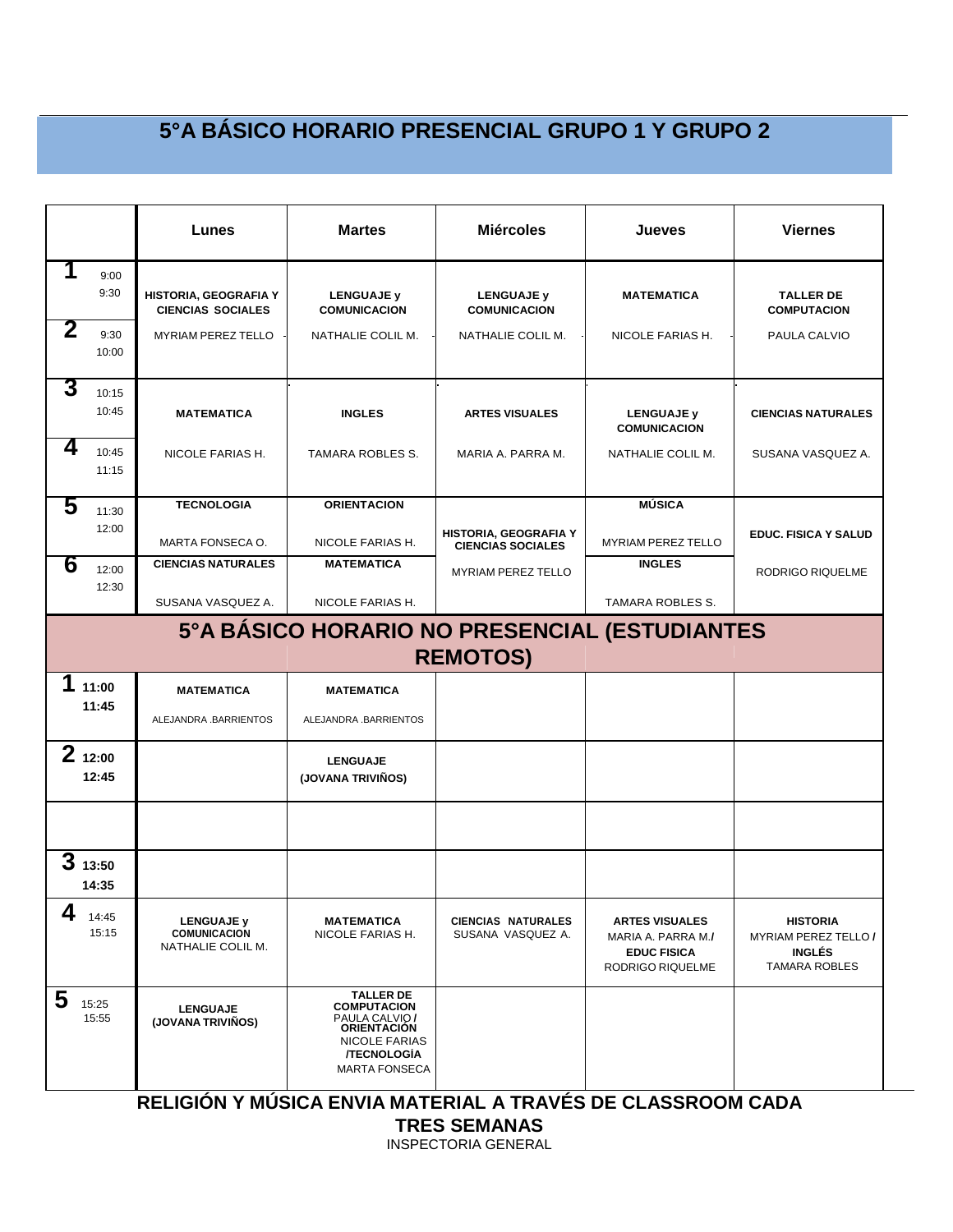|   |                 | Lunes                                                         | <b>Martes</b>                                                                                                                                        | <b>Miércoles</b>                                                 | Jueves                                                                                | Viernes                                                                                 |
|---|-----------------|---------------------------------------------------------------|------------------------------------------------------------------------------------------------------------------------------------------------------|------------------------------------------------------------------|---------------------------------------------------------------------------------------|-----------------------------------------------------------------------------------------|
| 1 | 9:00<br>9:30    | HISTORIA, GEOGRAFIA Y<br><b>CIENCIAS SOCIALES</b>             | <b>LENGUAJE y</b><br><b>COMUNICACION</b>                                                                                                             | <b>LENGUAJE y</b><br><b>COMUNICACION</b>                         | <b>MATEMATICA</b>                                                                     | <b>TALLER DE</b><br><b>COMPUTACION</b>                                                  |
| 2 | 9:30<br>10:00   | <b>MYRIAM PEREZ TELLO</b>                                     | NATHALIE COLIL M.                                                                                                                                    | NATHALIE COLIL M.                                                | NICOLE FARIAS H.                                                                      | PAULA CALVIO                                                                            |
| 3 | 10:15<br>10:45  | <b>MATEMATICA</b>                                             | <b>INGLES</b>                                                                                                                                        | <b>ARTES VISUALES</b>                                            | <b>LENGUAJE y</b><br><b>COMUNICACION</b>                                              | <b>CIENCIAS NATURALES</b>                                                               |
| 4 | 10:45<br>11:15  | NICOLE FARIAS H.                                              | TAMARA ROBLES S.                                                                                                                                     | MARIA A. PARRA M.                                                | NATHALIE COLIL M.                                                                     | SUSANA VASQUEZ A.                                                                       |
| 5 | 11:30           | <b>TECNOLOGIA</b>                                             | <b>ORIENTACION</b>                                                                                                                                   |                                                                  | <b>MÚSICA</b>                                                                         |                                                                                         |
|   | 12:00           | MARTA FONSECA O.                                              | NICOLE FARIAS H.                                                                                                                                     | HISTORIA, GEOGRAFIA Y<br><b>CIENCIAS SOCIALES</b>                | MYRIAM PEREZ TELLO                                                                    | <b>EDUC. FISICA Y SALUD</b>                                                             |
| 6 | 12:00<br>12:30  | <b>CIENCIAS NATURALES</b>                                     | <b>MATEMATICA</b>                                                                                                                                    | <b>MYRIAM PEREZ TELLO</b>                                        | <b>INGLES</b>                                                                         | <b>RODRIGO RIQUELME</b>                                                                 |
|   |                 | SUSANA VASQUEZ A.                                             | NICOLE FARIAS H.                                                                                                                                     |                                                                  | TAMARA ROBLES S.                                                                      |                                                                                         |
|   |                 |                                                               |                                                                                                                                                      | 5°A BÁSICO HORARIO NO PRESENCIAL (ESTUDIANTES<br><b>REMOTOS)</b> |                                                                                       |                                                                                         |
|   | 11:00           | <b>MATEMATICA</b>                                             | <b>MATEMATICA</b>                                                                                                                                    |                                                                  |                                                                                       |                                                                                         |
|   | 11:45           | ALEJANDRA .BARRIENTOS                                         | ALEJANDRA .BARRIENTOS                                                                                                                                |                                                                  |                                                                                       |                                                                                         |
|   | 212:00<br>12:45 |                                                               | <b>LENGUAJE</b><br>(JOVANA TRIVIÑOS)                                                                                                                 |                                                                  |                                                                                       |                                                                                         |
|   | 313:50<br>14:35 |                                                               |                                                                                                                                                      |                                                                  |                                                                                       |                                                                                         |
| 4 | 14:45<br>15:15  | <b>LENGUAJE y</b><br><b>COMUNICACION</b><br>NATHALIE COLIL M. | <b>MATEMATICA</b><br>NICOLE FARIAS H.                                                                                                                | <b>CIENCIAS NATURALES</b><br>SUSANA VASQUEZ A.                   | <b>ARTES VISUALES</b><br>MARIA A. PARRA M./<br><b>EDUC FISICA</b><br>RODRIGO RIQUELME | <b>HISTORIA</b><br><b>MYRIAM PEREZ TELLO /</b><br><b>INGLÉS</b><br><b>TAMARA ROBLES</b> |
| 5 | 15:25<br>15:55  | <b>LENGUAJE</b><br>(JOVANA TRIVIÑOS)                          | <b>TALLER DE</b><br><b>COMPUTACION</b><br>PAULA CALVIO /<br><b>ORIENTACIÓN</b><br><b>NICOLE FARIAS</b><br><b>/TECNOLOGIA</b><br><b>MARTA FONSECA</b> | BELIOIÁN VINÍCIOS ENVIS MATERIAL A TRAVÉO DE OLACOROQUIQARA      |                                                                                       |                                                                                         |

**RELIGIÓN Y MÚSICA ENVIA MATERIAL A TRAVÉS DE CLASSROOM CADA**

**TRES SEMANAS**

INSPECTORIA GENERAL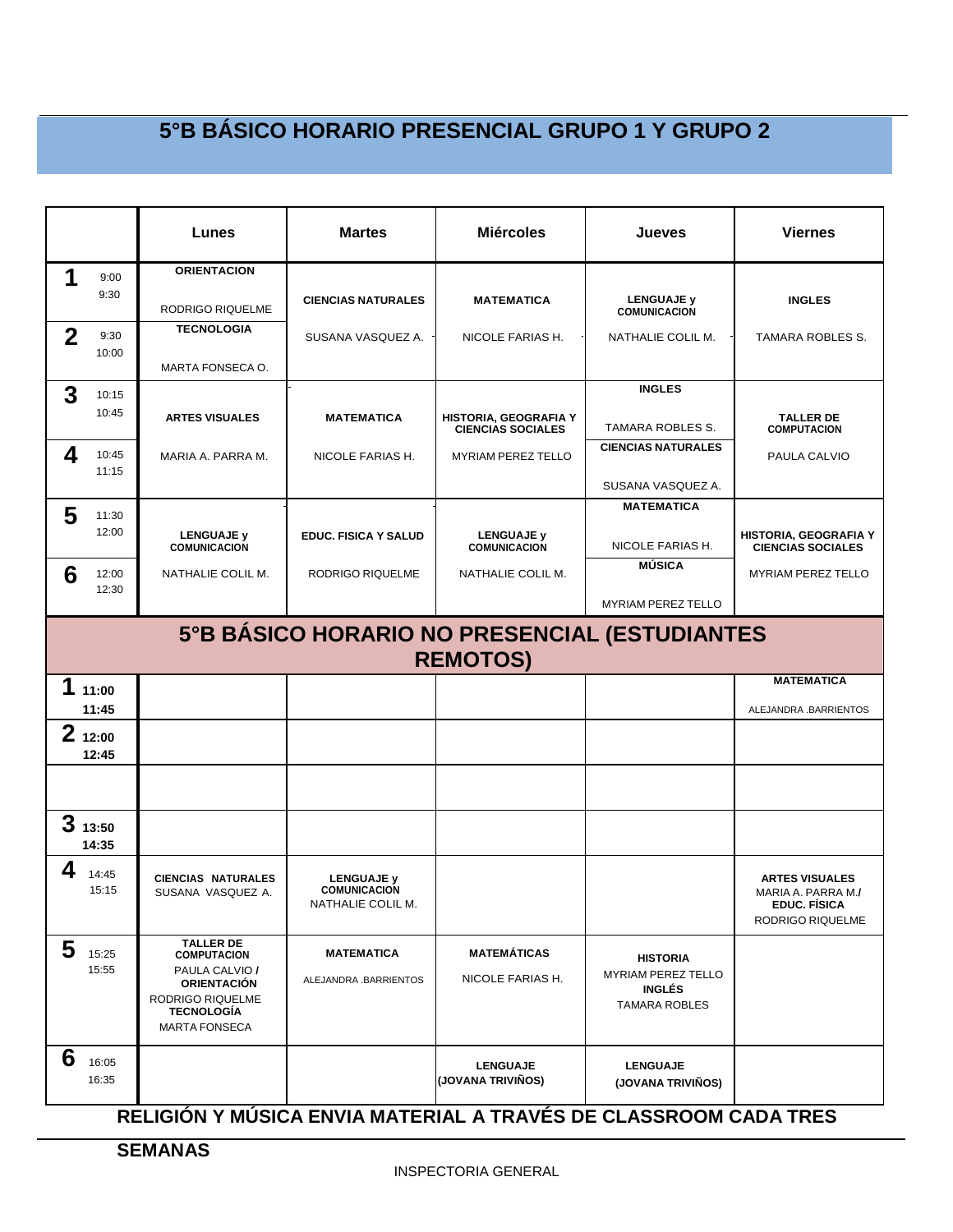|              |                 | Lunes                                                                          | <b>Martes</b>                                                 | <b>Miércoles</b>                                                                  | <b>Jueves</b>                                | <b>Viernes</b>                                                                         |
|--------------|-----------------|--------------------------------------------------------------------------------|---------------------------------------------------------------|-----------------------------------------------------------------------------------|----------------------------------------------|----------------------------------------------------------------------------------------|
| 1            | 9:00<br>9:30    | <b>ORIENTACION</b>                                                             | <b>CIENCIAS NATURALES</b>                                     | <b>MATEMATICA</b>                                                                 | <b>LENGUAJE y</b>                            | <b>INGLES</b>                                                                          |
|              |                 | RODRIGO RIQUELME                                                               |                                                               |                                                                                   | <b>COMUNICACION</b>                          |                                                                                        |
| $\mathbf{2}$ | 9:30<br>10:00   | <b>TECNOLOGIA</b>                                                              | SUSANA VASQUEZ A.                                             | NICOLE FARIAS H.                                                                  | NATHALIE COLIL M.                            | TAMARA ROBLES S.                                                                       |
|              |                 | MARTA FONSECA O.                                                               |                                                               |                                                                                   |                                              |                                                                                        |
| 3            | 10:15           |                                                                                |                                                               |                                                                                   | <b>INGLES</b>                                |                                                                                        |
|              | 10:45           | <b>ARTES VISUALES</b>                                                          | <b>MATEMATICA</b>                                             | HISTORIA, GEOGRAFIA Y<br><b>CIENCIAS SOCIALES</b>                                 | <b>TAMARA ROBLES S.</b>                      | <b>TALLER DE</b><br><b>COMPUTACION</b>                                                 |
| 4            | 10:45           | MARIA A. PARRA M.                                                              | NICOLE FARIAS H.                                              | <b>MYRIAM PEREZ TELLO</b>                                                         | <b>CIENCIAS NATURALES</b>                    | PAULA CALVIO                                                                           |
|              | 11:15           |                                                                                |                                                               |                                                                                   | SUSANA VASQUEZ A.                            |                                                                                        |
| 5            | 11:30           |                                                                                |                                                               |                                                                                   | <b>MATEMATICA</b>                            |                                                                                        |
|              | 12:00           | <b>LENGUAJE y</b><br><b>COMUNICACION</b>                                       | <b>EDUC. FISICA Y SALUD</b>                                   | LENGUAJE y<br><b>COMUNICACION</b>                                                 | NICOLE FARIAS H.                             | <b>HISTORIA, GEOGRAFIA Y</b><br><b>CIENCIAS SOCIALES</b>                               |
| 6            | 12:00           | NATHALIE COLIL M.                                                              | RODRIGO RIQUELME                                              | NATHALIE COLIL M.                                                                 | <b>MÚSICA</b>                                | <b>MYRIAM PEREZ TELLO</b>                                                              |
|              | 12:30           |                                                                                |                                                               |                                                                                   | <b>MYRIAM PEREZ TELLO</b>                    |                                                                                        |
|              |                 |                                                                                |                                                               | 5°B BÁSICO HORARIO NO PRESENCIAL (ESTUDIANTES<br><b>REMOTOS)</b>                  |                                              |                                                                                        |
| 1            | 11:00           |                                                                                |                                                               |                                                                                   |                                              | <b>MATEMATICA</b>                                                                      |
|              | 11:45           |                                                                                |                                                               |                                                                                   |                                              | ALEJANDRA .BARRIENTOS                                                                  |
|              | 212:00<br>12:45 |                                                                                |                                                               |                                                                                   |                                              |                                                                                        |
|              |                 |                                                                                |                                                               |                                                                                   |                                              |                                                                                        |
| 3            | 13:50<br>14:35  |                                                                                |                                                               |                                                                                   |                                              |                                                                                        |
| 4            | 14:45<br>15:15  | <b>CIENCIAS NATURALES</b><br>SUSANA VASQUEZ A.                                 | <b>LENGUAJE y</b><br><b>COMUNICACION</b><br>NATHALIE COLIL M. |                                                                                   |                                              | <b>ARTES VISUALES</b><br>MARIA A. PARRA M./<br><b>EDUC. FÍSICA</b><br>RODRIGO RIQUELME |
| 5            | 15:25<br>15:55  | <b>TALLER DE</b><br><b>COMPUTACION</b><br>PAULA CALVIO /<br><b>ORIENTACIÓN</b> | <b>MATEMATICA</b><br>ALEJANDRA .BARRIENTOS                    | <b>MATEMÁTICAS</b><br>NICOLE FARIAS H.                                            | <b>HISTORIA</b><br><b>MYRIAM PEREZ TELLO</b> |                                                                                        |
|              |                 | RODRIGO RIQUELME<br><b>TECNOLOGÍA</b><br><b>MARTA FONSECA</b>                  |                                                               |                                                                                   | <b>INGLÉS</b><br><b>TAMARA ROBLES</b>        |                                                                                        |
| 6            | 16:05<br>16:35  | BELIAIÁN V MIÍOIA EMILA                                                        |                                                               | <b>LENGUAJE</b><br>(JOVANA TRIVIÑOS)<br>$MATENUU A F NUF R F R U A Q Q R R R Q Q$ | <b>LENGUAJE</b><br>(JOVANA TRIVIÑOS)         |                                                                                        |

#### **RELIGIÓN Y MÚSICA ENVIA MATERIAL A TRAVÉS DE CLASSROOM CADA TRES**

**SEMANAS**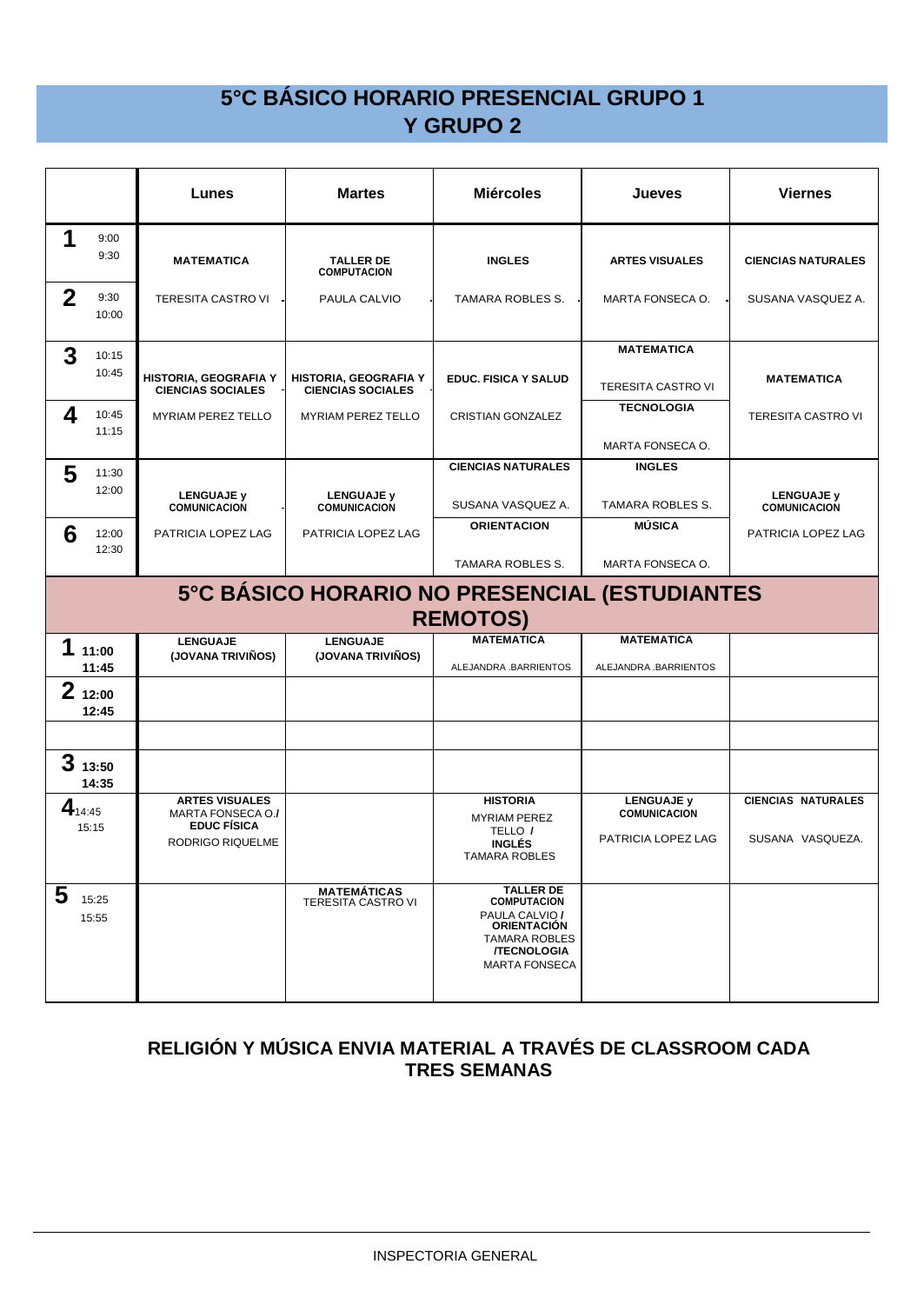|                |                 | Lunes                                                                                | <b>Martes</b>                                     | <b>Miércoles</b>                                                                                                                                     | Jueves                                                         | <b>Viernes</b>                                |
|----------------|-----------------|--------------------------------------------------------------------------------------|---------------------------------------------------|------------------------------------------------------------------------------------------------------------------------------------------------------|----------------------------------------------------------------|-----------------------------------------------|
| 1              | 9:00<br>9:30    | <b>MATEMATICA</b>                                                                    | <b>TALLER DE</b><br><b>COMPUTACION</b>            | <b>INGLES</b>                                                                                                                                        | <b>ARTES VISUALES</b>                                          | <b>CIENCIAS NATURALES</b>                     |
| $\overline{2}$ | 9:30<br>10:00   | TERESITA CASTRO VI                                                                   | PAULA CALVIO                                      | TAMARA ROBLES S.                                                                                                                                     | MARTA FONSECA O.                                               | SUSANA VASQUEZ A.                             |
| 3              | 10:15<br>10:45  | HISTORIA, GEOGRAFIA Y<br><b>CIENCIAS SOCIALES</b>                                    | HISTORIA, GEOGRAFIA Y<br><b>CIENCIAS SOCIALES</b> | <b>EDUC. FISICA Y SALUD</b>                                                                                                                          | <b>MATEMATICA</b><br><b>TERESITA CASTRO VI</b>                 | <b>MATEMATICA</b>                             |
| 4              | 10:45<br>11:15  | <b>MYRIAM PEREZ TELLO</b>                                                            | <b>MYRIAM PEREZ TELLO</b>                         | CRISTIAN GONZALEZ                                                                                                                                    | <b>TECNOLOGIA</b><br>MARTA FONSECA O.                          | <b>TERESITA CASTRO VI</b>                     |
| 5              | 11:30           |                                                                                      |                                                   | <b>CIENCIAS NATURALES</b>                                                                                                                            | <b>INGLES</b>                                                  |                                               |
|                | 12:00           | <b>LENGUAJE y</b><br><b>COMUNICACION</b>                                             | <b>LENGUAJE y</b><br><b>COMUNICACION</b>          | SUSANA VASQUEZ A.                                                                                                                                    | TAMARA ROBLES S.                                               | <b>LENGUAJE y</b><br><b>COMUNICACION</b>      |
| 6              | 12:00<br>12:30  | PATRICIA LOPEZ LAG                                                                   | PATRICIA LOPEZ LAG                                | <b>ORIENTACION</b>                                                                                                                                   | <b>MÚSICA</b>                                                  | PATRICIA LOPEZ LAG                            |
|                |                 |                                                                                      |                                                   | <b>TAMARA ROBLES S.</b>                                                                                                                              | MARTA FONSECA O.                                               |                                               |
|                |                 |                                                                                      | 5°C BÁSICO HORARIO NO PRESENCIAL (ESTUDIANTES     | <b>REMOTOS)</b>                                                                                                                                      |                                                                |                                               |
| 1              | 11:00<br>11:45  | <b>LENGUAJE</b><br>(JOVANA TRIVIÑOS)                                                 | <b>LENGUAJE</b><br>(JOVANA TRIVIÑOS)              | <b>MATEMATICA</b><br>ALEJANDRA .BARRIENTOS                                                                                                           | <b>MATEMATICA</b><br>ALEJANDRA .BARRIENTOS                     |                                               |
|                | 212:00<br>12:45 |                                                                                      |                                                   |                                                                                                                                                      |                                                                |                                               |
|                |                 |                                                                                      |                                                   |                                                                                                                                                      |                                                                |                                               |
| 3              | 13:50<br>14:35  |                                                                                      |                                                   |                                                                                                                                                      |                                                                |                                               |
| $4_{14:45}$    | 15:15           | <b>ARTES VISUALES</b><br>MARTA FONSECA O./<br><b>EDUC FÍSICA</b><br>RODRIGO RIQUELME |                                                   | <b>HISTORIA</b><br><b>MYRIAM PEREZ</b><br>TELLO /<br><b>INGLÉS</b><br><b>TAMARA ROBLES</b>                                                           | <b>LENGUAJE y</b><br><b>COMUNICACION</b><br>PATRICIA LOPEZ LAG | <b>CIENCIAS NATURALES</b><br>SUSANA VASQUEZA. |
| 5              | 15:25<br>15:55  |                                                                                      | <b>MATEMÁTICAS</b><br><b>TERESITA CASTRO VI</b>   | <b>TALLER DE</b><br><b>COMPUTACION</b><br>PAULA CALVIO /<br><b>ORIENTACIÓN</b><br><b>TAMARA ROBLES</b><br><b>/TECNOLOGIA</b><br><b>MARTA FONSECA</b> |                                                                |                                               |

#### **RELIGIÓN Y MÚSICA ENVIA MATERIAL A TRAVÉS DE CLASSROOM CADA TRES SEMANAS**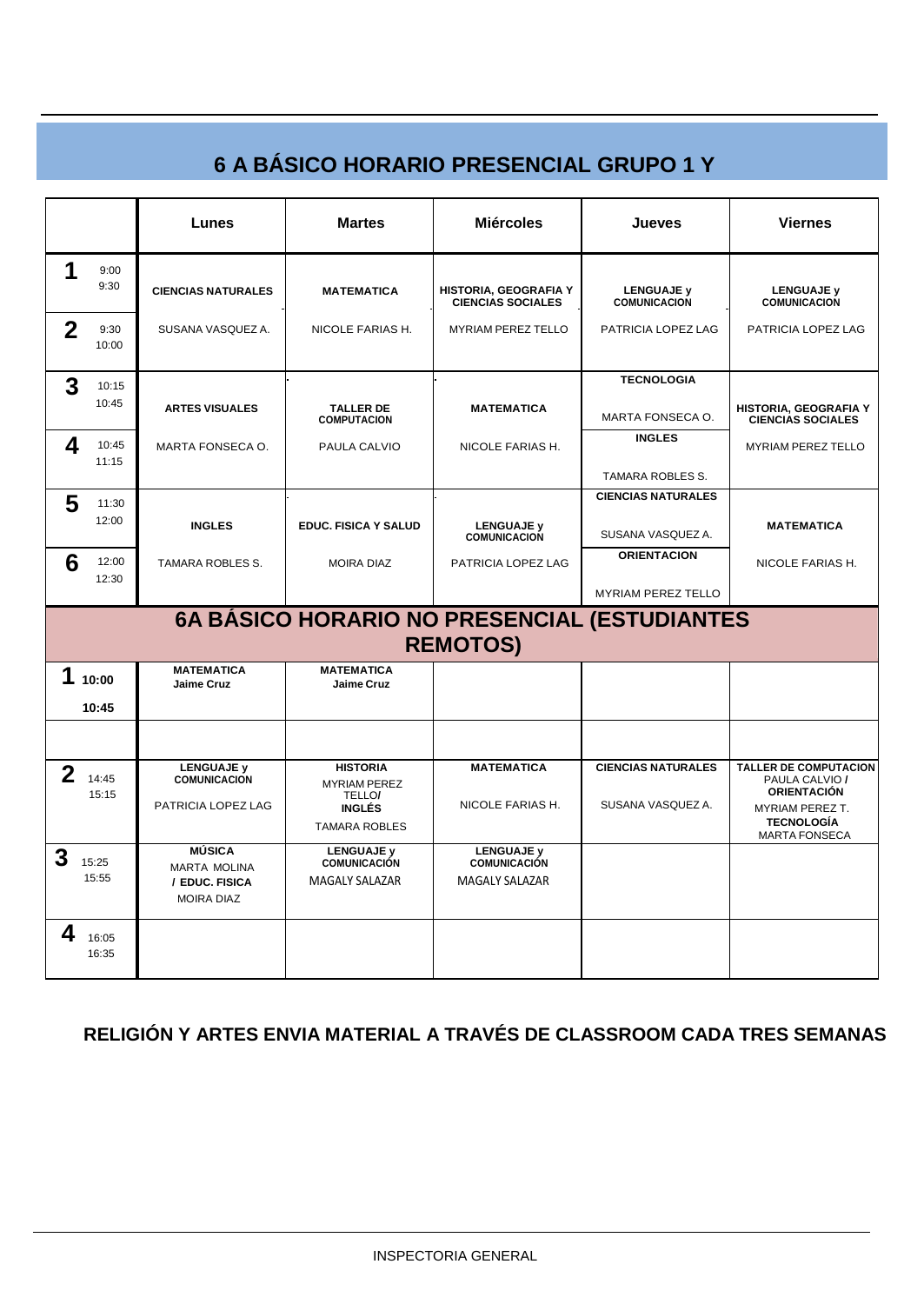# **6 A BÁSICO HORARIO PRESENCIAL GRUPO 1 Y**

|             |                | Lunes                                                      | <b>Martes</b>                                    | <b>Miércoles</b>                                                | <b>Jueves</b>                            | <b>Viernes</b>                                                       |
|-------------|----------------|------------------------------------------------------------|--------------------------------------------------|-----------------------------------------------------------------|------------------------------------------|----------------------------------------------------------------------|
|             | 9:00<br>9:30   | <b>CIENCIAS NATURALES</b>                                  | <b>MATEMATICA</b>                                | HISTORIA, GEOGRAFIA Y<br><b>CIENCIAS SOCIALES</b>               | <b>LENGUAJE y</b><br><b>COMUNICACION</b> | <b>LENGUAJE y</b><br><b>COMUNICACION</b>                             |
| $\mathbf 2$ | 9:30<br>10:00  | SUSANA VASQUEZ A.                                          | NICOLE FARIAS H.                                 | <b>MYRIAM PEREZ TELLO</b>                                       | PATRICIA LOPEZ LAG                       | PATRICIA LOPEZ LAG                                                   |
| 3           | 10:15          |                                                            |                                                  |                                                                 | <b>TECNOLOGIA</b>                        |                                                                      |
|             | 10:45          | <b>ARTES VISUALES</b>                                      | <b>TALLER DE</b><br><b>COMPUTACION</b>           | <b>MATEMATICA</b>                                               | MARTA FONSECA O.                         | HISTORIA, GEOGRAFIA Y<br><b>CIENCIAS SOCIALES</b>                    |
| 4           | 10:45<br>11:15 | MARTA FONSECA O.                                           | PAULA CALVIO                                     | NICOLE FARIAS H.                                                | <b>INGLES</b>                            | <b>MYRIAM PEREZ TELLO</b>                                            |
|             |                |                                                            |                                                  |                                                                 | TAMARA ROBLES S.                         |                                                                      |
| 5           | 11:30          |                                                            |                                                  |                                                                 | <b>CIENCIAS NATURALES</b>                |                                                                      |
|             | 12:00          | <b>INGLES</b>                                              | <b>EDUC. FISICA Y SALUD</b>                      | <b>LENGUAJE y</b><br><b>COMUNICACION</b>                        | SUSANA VASQUEZ A.                        | <b>MATEMATICA</b>                                                    |
| 6           | 12:00<br>12:30 | TAMARA ROBLES S.                                           | <b>MOIRA DIAZ</b>                                | PATRICIA LOPEZ LAG                                              | <b>ORIENTACION</b>                       | NICOLE FARIAS H.                                                     |
|             |                |                                                            |                                                  |                                                                 | <b>MYRIAM PEREZ TELLO</b>                |                                                                      |
|             |                |                                                            |                                                  | 6A BÁSICO HORARIO NO PRESENCIAL (ESTUDIANTES<br><b>REMOTOS)</b> |                                          |                                                                      |
|             |                | <b>MATEMATICA</b>                                          | <b>MATEMATICA</b>                                |                                                                 |                                          |                                                                      |
|             | 10:00          | <b>Jaime Cruz</b>                                          | <b>Jaime Cruz</b>                                |                                                                 |                                          |                                                                      |
|             | 10:45          |                                                            |                                                  |                                                                 |                                          |                                                                      |
|             |                |                                                            |                                                  |                                                                 |                                          |                                                                      |
| $\mathbf 2$ | 14:45<br>15:15 | <b>LENGUAJE y</b><br><b>COMUNICACION</b>                   | <b>HISTORIA</b><br><b>MYRIAM PEREZ</b><br>TELLO/ | <b>MATEMATICA</b>                                               | <b>CIENCIAS NATURALES</b>                | <b>TALLER DE COMPUTACION</b><br>PAULA CALVIO /<br><b>ORIENTACIÓN</b> |
|             |                | PATRICIA LOPEZ LAG                                         | <b>INGLÉS</b><br><b>TAMARA ROBLES</b>            | NICOLE FARIAS H.                                                | SUSANA VASQUEZ A.                        | <b>MYRIAM PEREZ T.</b><br><b>TECNOLOGÍA</b><br><b>MARTA FONSECA</b>  |
| 3           | 15:25          | <b>MÚSICA</b>                                              | LENGUAJE y<br>COMUNICACIÓN                       | <b>LENGUAJE y</b><br><b>COMUNICACIÓN</b>                        |                                          |                                                                      |
|             | 15:55          | <b>MARTA MOLINA</b><br>/ EDUC, FISICA<br><b>MOIRA DIAZ</b> | <b>MAGALY SALAZAR</b>                            | <b>MAGALY SALAZAR</b>                                           |                                          |                                                                      |
| 4           | 16:05<br>16:35 |                                                            |                                                  |                                                                 |                                          |                                                                      |

#### **RELIGIÓN Y ARTES ENVIA MATERIAL A TRAVÉS DE CLASSROOM CADA TRES SEMANAS**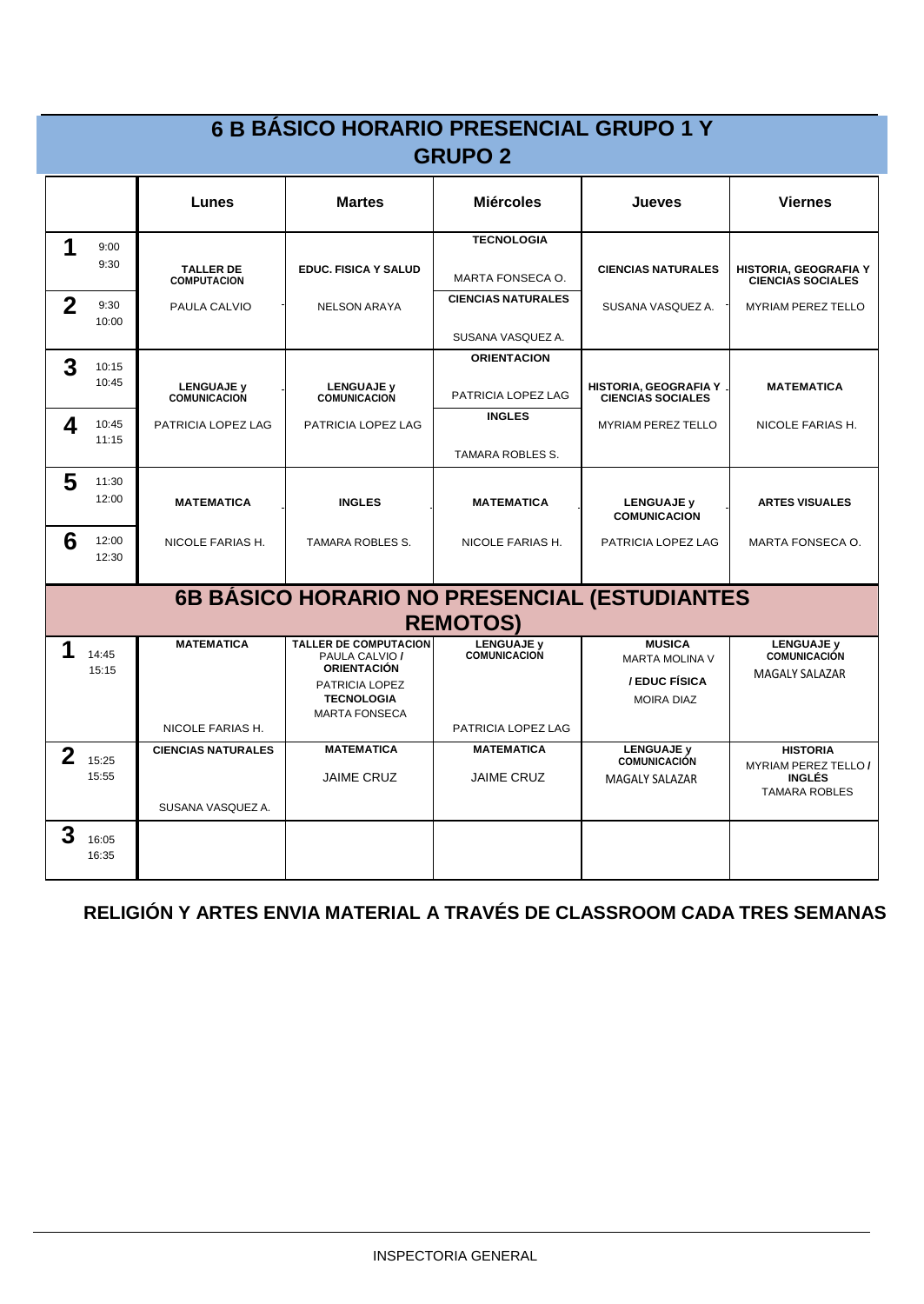|             |                | Lunes                                    | <b>Martes</b>                                                        | <b>Miércoles</b>                         | Jueves                                            | <b>Viernes</b>                                           |
|-------------|----------------|------------------------------------------|----------------------------------------------------------------------|------------------------------------------|---------------------------------------------------|----------------------------------------------------------|
| 1           | 9:00           |                                          |                                                                      | <b>TECNOLOGIA</b>                        |                                                   |                                                          |
|             | 9:30           | <b>TALLER DE</b><br><b>COMPUTACION</b>   | <b>EDUC. FISICA Y SALUD</b>                                          | <b>MARTA FONSECA O.</b>                  | <b>CIENCIAS NATURALES</b>                         | <b>HISTORIA, GEOGRAFIA Y</b><br><b>CIENCIAS SOCIALES</b> |
| $\mathbf 2$ | 9:30<br>10:00  | PAULA CALVIO                             | <b>NELSON ARAYA</b>                                                  | <b>CIENCIAS NATURALES</b>                | SUSANA VASQUEZ A.                                 | <b>MYRIAM PEREZ TELLO</b>                                |
|             |                |                                          |                                                                      | SUSANA VASQUEZ A.                        |                                                   |                                                          |
| 3           | 10:15          |                                          |                                                                      | <b>ORIENTACION</b>                       |                                                   |                                                          |
|             | 10:45          | <b>LENGUAJE y</b><br><b>COMUNICACION</b> | <b>LENGUAJE y</b><br><b>COMUNICACION</b>                             | PATRICIA LOPEZ LAG                       | HISTORIA, GEOGRAFIA Y<br><b>CIENCIAS SOCIALES</b> | <b>MATEMATICA</b>                                        |
| 4           | 10:45<br>11:15 | PATRICIA LOPEZ LAG                       | PATRICIA LOPEZ LAG                                                   | <b>INGLES</b>                            | <b>MYRIAM PEREZ TELLO</b>                         | NICOLE FARIAS H.                                         |
|             |                |                                          |                                                                      | TAMARA ROBLES S.                         |                                                   |                                                          |
| 5           | 11:30<br>12:00 | <b>MATEMATICA</b>                        | <b>INGLES</b>                                                        | <b>MATEMATICA</b>                        | <b>LENGUAJE y</b>                                 | <b>ARTES VISUALES</b>                                    |
|             |                |                                          |                                                                      |                                          | <b>COMUNICACION</b>                               |                                                          |
| 6           | 12:00<br>12:30 | NICOLE FARIAS H.                         | TAMARA ROBLES S.                                                     | NICOLE FARIAS H.                         | PATRICIA LOPEZ LAG                                | MARTA FONSECA O.                                         |
|             |                |                                          | 6B BÁSICO HORARIO NO PRESENCIAL (ESTUDIANTES                         |                                          |                                                   |                                                          |
|             |                |                                          |                                                                      | <b>REMOTOS)</b>                          |                                                   |                                                          |
| 1           | 14:45<br>15:15 | <b>MATEMATICA</b>                        | <b>TALLER DE COMPUTACION</b><br>PAULA CALVIO /<br><b>ORIENTACIÓN</b> | <b>LENGUAJE v</b><br><b>COMUNICACION</b> | <b>MUSICA</b><br><b>MARTA MOLINA V</b>            | <b>LENGUAJE y</b><br><b>COMUNICACIÓN</b>                 |
|             |                |                                          | PATRICIA LOPEZ<br><b>TECNOLOGIA</b><br><b>MARTA FONSECA</b>          |                                          | / EDUC FÍSICA<br><b>MOIRA DIAZ</b>                | <b>MAGALY SALAZAR</b>                                    |
|             |                | NICOLE FARIAS H.                         |                                                                      | PATRICIA LOPEZ LAG                       |                                                   |                                                          |
| $\mathbf 2$ | 15:25          | <b>CIENCIAS NATURALES</b>                | <b>MATEMATICA</b>                                                    | <b>MATEMATICA</b>                        | <b>LENGUAJE y</b><br><b>COMUNICACIÓN</b>          | <b>HISTORIA</b><br><b>MYRIAM PEREZ TELLO /</b>           |
|             | 15:55          |                                          | <b>JAIME CRUZ</b>                                                    | <b>JAIME CRUZ</b>                        | <b>MAGALY SALAZAR</b>                             | <b>INGLÉS</b><br><b>TAMARA ROBLES</b>                    |
|             |                | SUSANA VASQUEZ A.                        |                                                                      |                                          |                                                   |                                                          |
| 3           | 16:05<br>16:35 |                                          |                                                                      |                                          |                                                   |                                                          |

#### **RELIGIÓN Y ARTES ENVIA MATERIAL A TRAVÉS DE CLASSROOM CADA TRES SEMANAS**